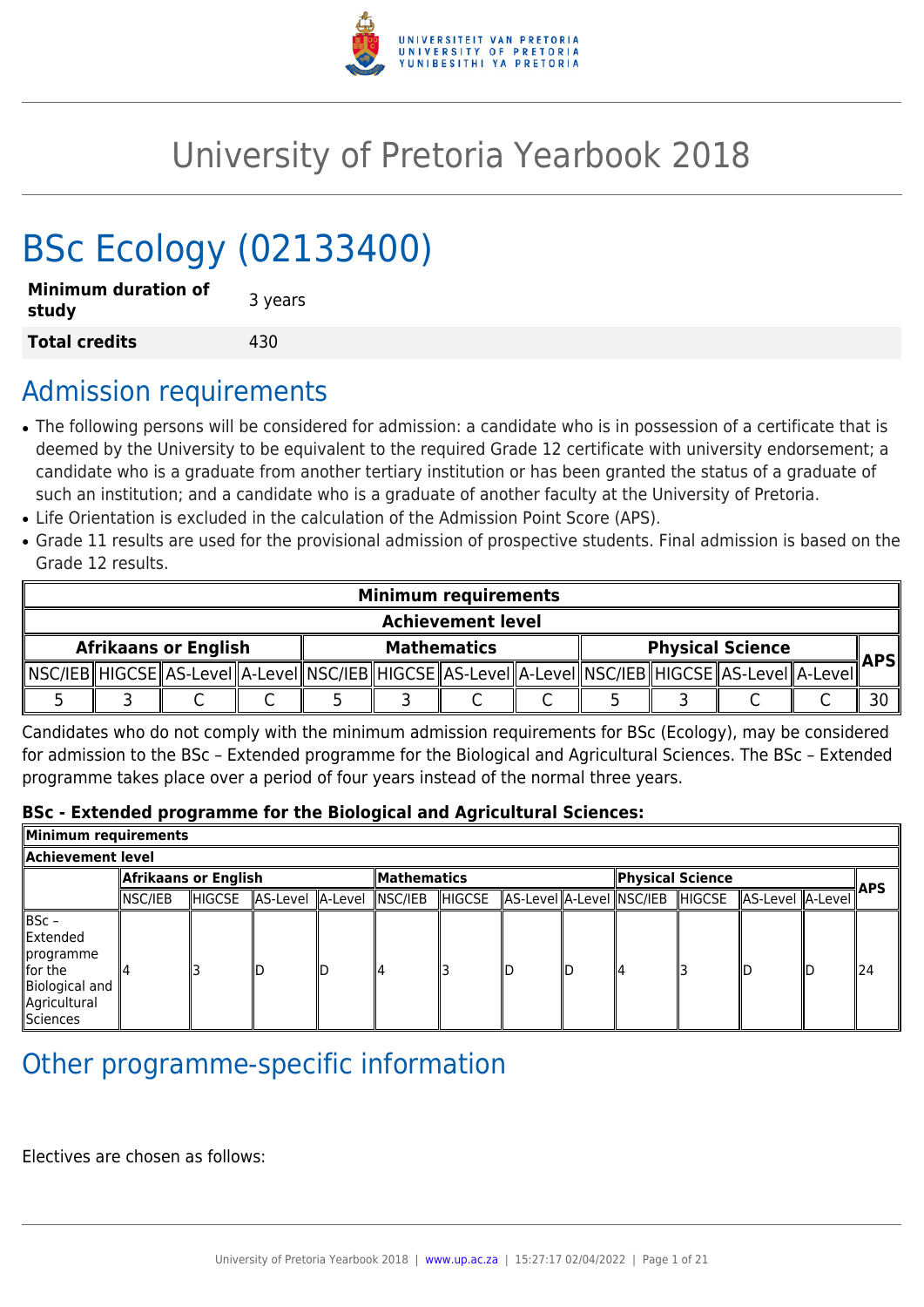

# University of Pretoria Yearbook 2018

# BSc Ecology (02133400)

| <b>Minimum duration of</b><br>study | 3 years |
|-------------------------------------|---------|
| <b>Total credits</b>                | 430     |

## Admission requirements

- The following persons will be considered for admission: a candidate who is in possession of a certificate that is deemed by the University to be equivalent to the required Grade 12 certificate with university endorsement; a candidate who is a graduate from another tertiary institution or has been granted the status of a graduate of such an institution; and a candidate who is a graduate of another faculty at the University of Pretoria.
- Life Orientation is excluded in the calculation of the Admission Point Score (APS).
- Grade 11 results are used for the provisional admission of prospective students. Final admission is based on the Grade 12 results.

|                             | <b>Minimum requirements</b> |  |  |  |  |                                                                                                   |  |                         |            |
|-----------------------------|-----------------------------|--|--|--|--|---------------------------------------------------------------------------------------------------|--|-------------------------|------------|
|                             | <b>Achievement level</b>    |  |  |  |  |                                                                                                   |  |                         |            |
| <b>Afrikaans or English</b> |                             |  |  |  |  | <b>Mathematics</b>                                                                                |  | <b>Physical Science</b> | <b>APS</b> |
|                             |                             |  |  |  |  | ∥NSC/IEB∥HIGCSE∥AS-LeveI∥A-LeveI∥NSC/IEB∥HIGCSE∥AS-LeveI∥A-LeveI∥NSC/IEB∥HIGCSE∥AS-LeveI∥A-LeveI∥ |  |                         |            |
|                             |                             |  |  |  |  |                                                                                                   |  |                         |            |

Candidates who do not comply with the minimum admission requirements for BSc (Ecology), may be considered for admission to the BSc – Extended programme for the Biological and Agricultural Sciences. The BSc – Extended programme takes place over a period of four years instead of the normal three years.

#### **BSc - Extended programme for the Biological and Agricultural Sciences:**

| Minimum requirements                                                                          |                      |        |                          |     |              |         |  |                  |  |                                                          |  |            |
|-----------------------------------------------------------------------------------------------|----------------------|--------|--------------------------|-----|--------------|---------|--|------------------|--|----------------------------------------------------------|--|------------|
| Achievement level                                                                             |                      |        |                          |     |              |         |  |                  |  |                                                          |  |            |
|                                                                                               | Afrikaans or English |        |                          |     | ∥Mathematics |         |  | Physical Science |  |                                                          |  | <b>APS</b> |
|                                                                                               | NSC/IEB              | HIGCSE | AS-Level A-Level NSC/IEB |     |              | ∥HIGCSE |  |                  |  | AS-Level  A-Level  NSC/IEB   HIGCSE   AS-Level   A-Level |  |            |
| BSc -<br>Extended<br>∥programme<br>$\ $ for the<br>Biological and<br>Agricultural<br>Sciences |                      |        |                          | חוו | 4            |         |  | ıд               |  |                                                          |  | 124        |

## Other programme-specific information

Electives are chosen as follows: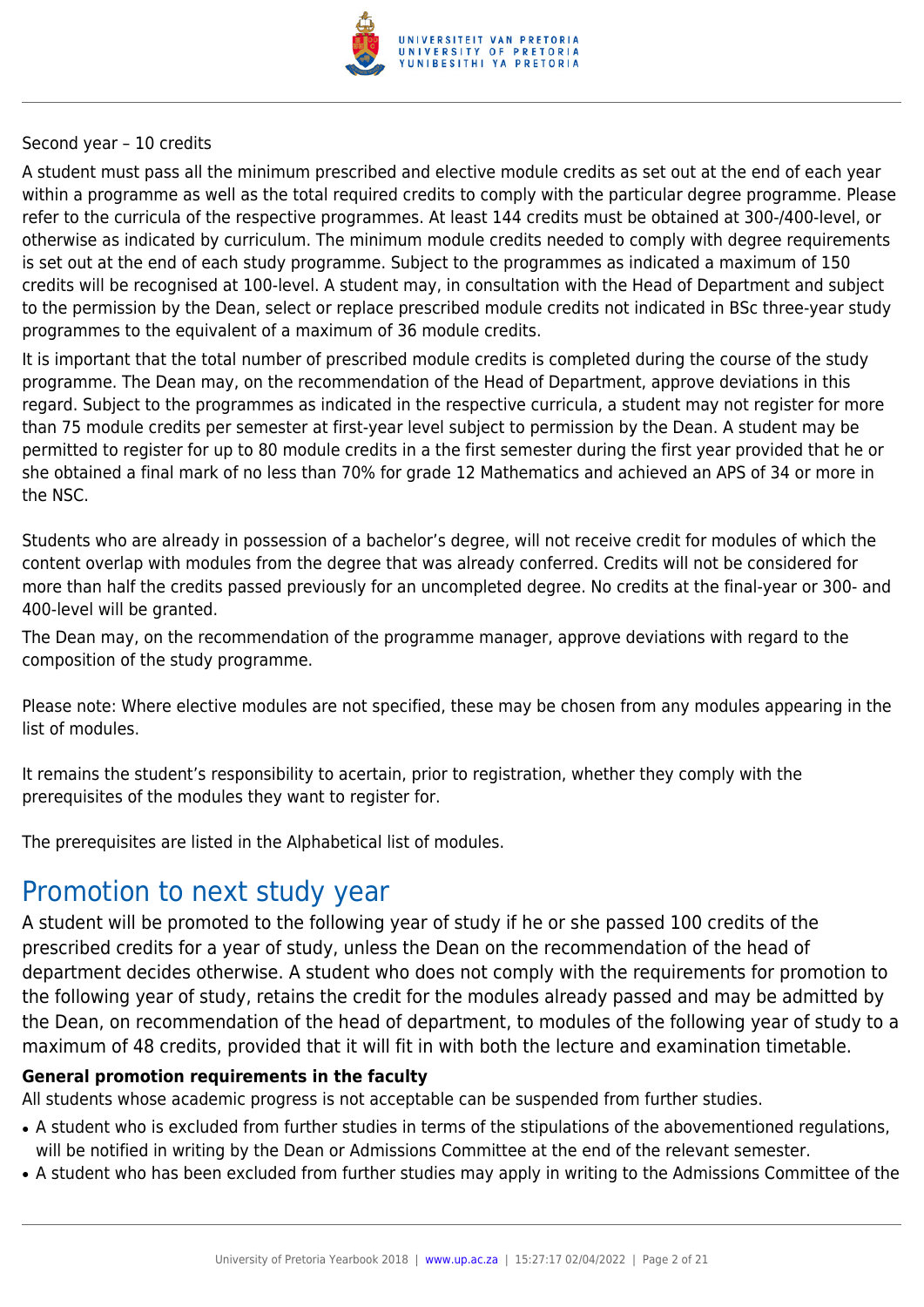

#### Second year – 10 credits

A student must pass all the minimum prescribed and elective module credits as set out at the end of each year within a programme as well as the total required credits to comply with the particular degree programme. Please refer to the curricula of the respective programmes. At least 144 credits must be obtained at 300-/400-level, or otherwise as indicated by curriculum. The minimum module credits needed to comply with degree requirements is set out at the end of each study programme. Subject to the programmes as indicated a maximum of 150 credits will be recognised at 100-level. A student may, in consultation with the Head of Department and subject to the permission by the Dean, select or replace prescribed module credits not indicated in BSc three-year study programmes to the equivalent of a maximum of 36 module credits.

It is important that the total number of prescribed module credits is completed during the course of the study programme. The Dean may, on the recommendation of the Head of Department, approve deviations in this regard. Subject to the programmes as indicated in the respective curricula, a student may not register for more than 75 module credits per semester at first-year level subject to permission by the Dean. A student may be permitted to register for up to 80 module credits in a the first semester during the first year provided that he or she obtained a final mark of no less than 70% for grade 12 Mathematics and achieved an APS of 34 or more in the NSC.

Students who are already in possession of a bachelor's degree, will not receive credit for modules of which the content overlap with modules from the degree that was already conferred. Credits will not be considered for more than half the credits passed previously for an uncompleted degree. No credits at the final-year or 300- and 400-level will be granted.

The Dean may, on the recommendation of the programme manager, approve deviations with regard to the composition of the study programme.

Please note: Where elective modules are not specified, these may be chosen from any modules appearing in the list of modules.

It remains the student's responsibility to acertain, prior to registration, whether they comply with the prerequisites of the modules they want to register for.

The prerequisites are listed in the Alphabetical list of modules.

## Promotion to next study year

A student will be promoted to the following year of study if he or she passed 100 credits of the prescribed credits for a year of study, unless the Dean on the recommendation of the head of department decides otherwise. A student who does not comply with the requirements for promotion to the following year of study, retains the credit for the modules already passed and may be admitted by the Dean, on recommendation of the head of department, to modules of the following year of study to a maximum of 48 credits, provided that it will fit in with both the lecture and examination timetable.

#### **General promotion requirements in the faculty**

All students whose academic progress is not acceptable can be suspended from further studies.

- A student who is excluded from further studies in terms of the stipulations of the abovementioned regulations, will be notified in writing by the Dean or Admissions Committee at the end of the relevant semester.
- A student who has been excluded from further studies may apply in writing to the Admissions Committee of the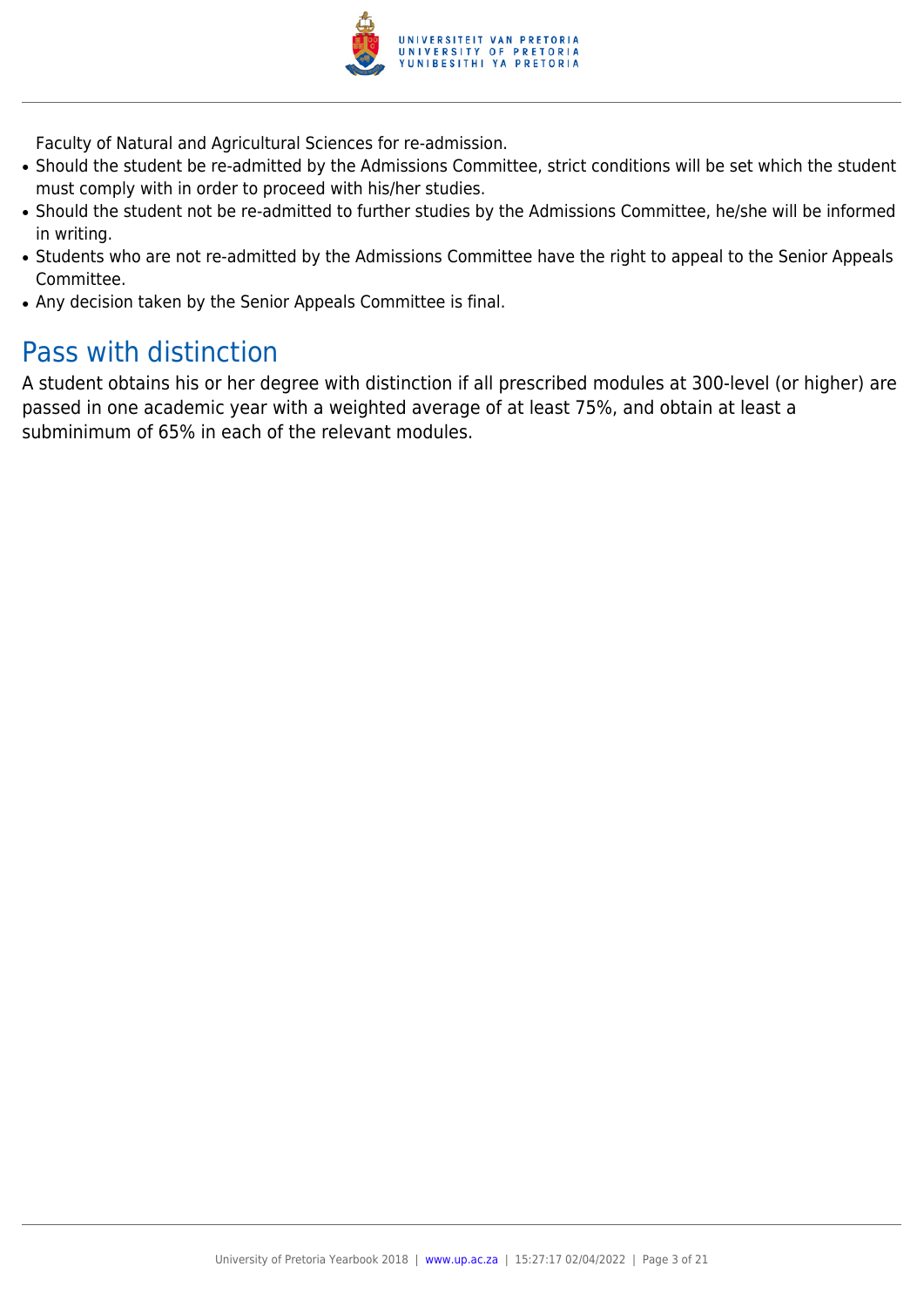

Faculty of Natural and Agricultural Sciences for re-admission.

- Should the student be re-admitted by the Admissions Committee, strict conditions will be set which the student must comply with in order to proceed with his/her studies.
- Should the student not be re-admitted to further studies by the Admissions Committee, he/she will be informed in writing.
- Students who are not re-admitted by the Admissions Committee have the right to appeal to the Senior Appeals Committee.
- Any decision taken by the Senior Appeals Committee is final.

## Pass with distinction

A student obtains his or her degree with distinction if all prescribed modules at 300-level (or higher) are passed in one academic year with a weighted average of at least 75%, and obtain at least a subminimum of 65% in each of the relevant modules.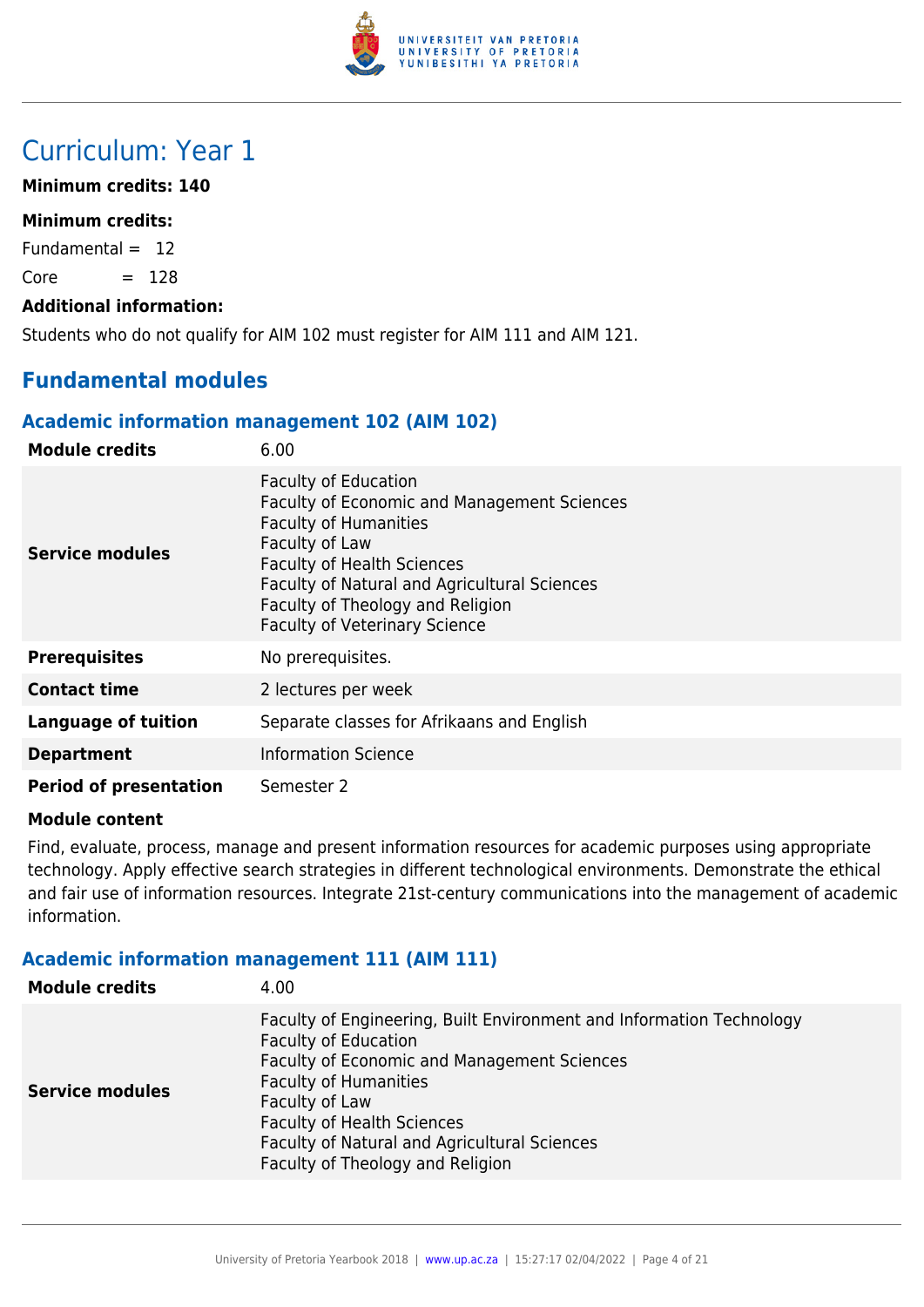

## Curriculum: Year 1

#### **Minimum credits: 140**

### **Minimum credits:**

Fundamental  $= 12$ 

 $Core = 128$ 

#### **Additional information:**

Students who do not qualify for AIM 102 must register for AIM 111 and AIM 121.

## **Fundamental modules**

#### **Academic information management 102 (AIM 102)**

| <b>Module credits</b>         | 6.00                                                                                                                                                                                                                                                                                          |
|-------------------------------|-----------------------------------------------------------------------------------------------------------------------------------------------------------------------------------------------------------------------------------------------------------------------------------------------|
| <b>Service modules</b>        | <b>Faculty of Education</b><br>Faculty of Economic and Management Sciences<br><b>Faculty of Humanities</b><br>Faculty of Law<br><b>Faculty of Health Sciences</b><br>Faculty of Natural and Agricultural Sciences<br>Faculty of Theology and Religion<br><b>Faculty of Veterinary Science</b> |
| <b>Prerequisites</b>          | No prerequisites.                                                                                                                                                                                                                                                                             |
| <b>Contact time</b>           | 2 lectures per week                                                                                                                                                                                                                                                                           |
| <b>Language of tuition</b>    | Separate classes for Afrikaans and English                                                                                                                                                                                                                                                    |
| <b>Department</b>             | <b>Information Science</b>                                                                                                                                                                                                                                                                    |
| <b>Period of presentation</b> | Semester 2                                                                                                                                                                                                                                                                                    |

#### **Module content**

Find, evaluate, process, manage and present information resources for academic purposes using appropriate technology. Apply effective search strategies in different technological environments. Demonstrate the ethical and fair use of information resources. Integrate 21st-century communications into the management of academic information.

### **Academic information management 111 (AIM 111)**

| <b>Module credits</b>  | 4.00                                                                                                                                                                                                                                                                                                                          |
|------------------------|-------------------------------------------------------------------------------------------------------------------------------------------------------------------------------------------------------------------------------------------------------------------------------------------------------------------------------|
| <b>Service modules</b> | Faculty of Engineering, Built Environment and Information Technology<br><b>Faculty of Education</b><br>Faculty of Economic and Management Sciences<br><b>Faculty of Humanities</b><br>Faculty of Law<br><b>Faculty of Health Sciences</b><br>Faculty of Natural and Agricultural Sciences<br>Faculty of Theology and Religion |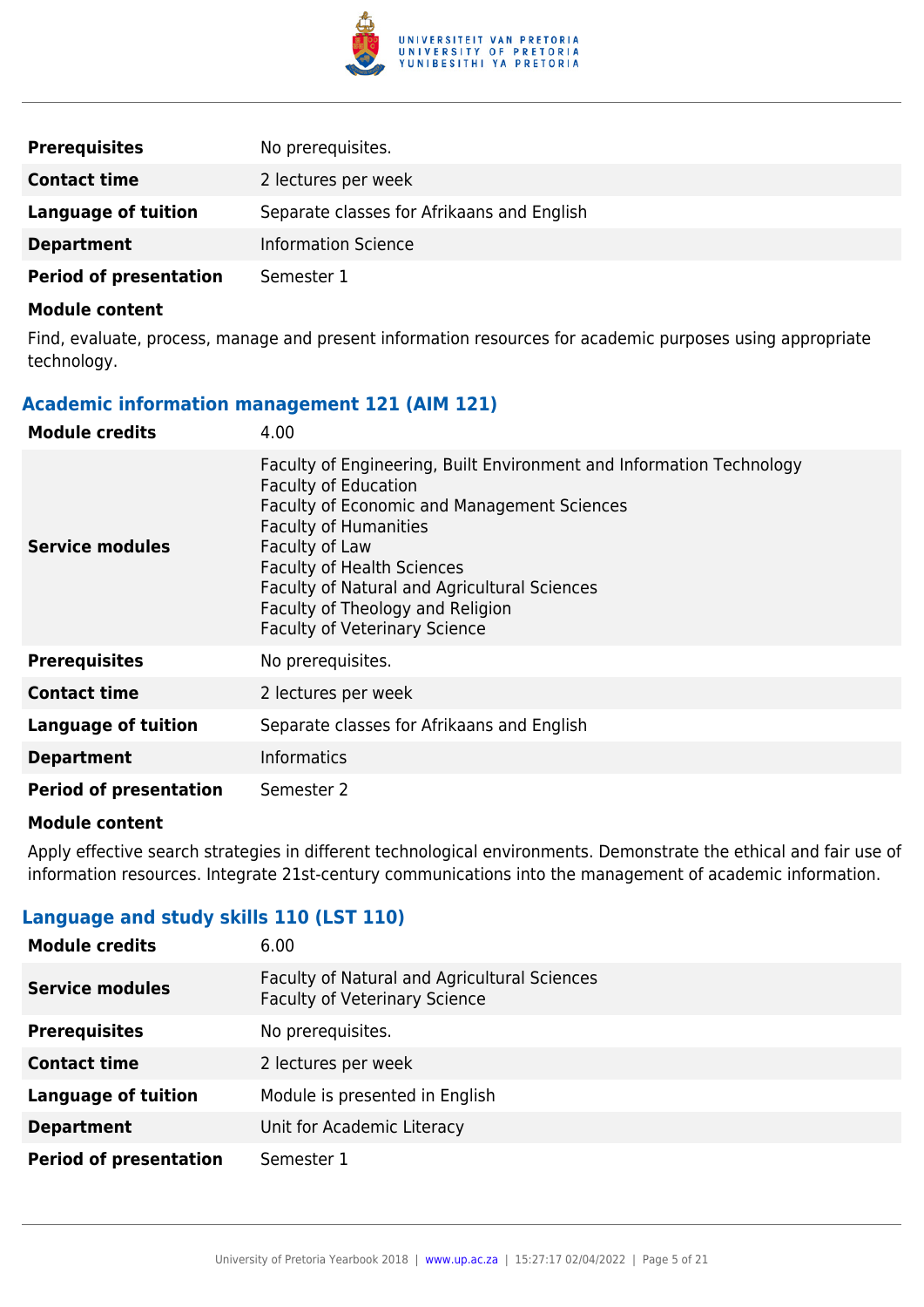

| <b>Prerequisites</b>          | No prerequisites.                          |
|-------------------------------|--------------------------------------------|
| <b>Contact time</b>           | 2 lectures per week                        |
| Language of tuition           | Separate classes for Afrikaans and English |
| <b>Department</b>             | <b>Information Science</b>                 |
| <b>Period of presentation</b> | Semester 1                                 |

Find, evaluate, process, manage and present information resources for academic purposes using appropriate technology.

#### **Academic information management 121 (AIM 121)**

| <b>Module credits</b>         | 4.00                                                                                                                                                                                                                                                                                                                                                                         |
|-------------------------------|------------------------------------------------------------------------------------------------------------------------------------------------------------------------------------------------------------------------------------------------------------------------------------------------------------------------------------------------------------------------------|
| <b>Service modules</b>        | Faculty of Engineering, Built Environment and Information Technology<br><b>Faculty of Education</b><br><b>Faculty of Economic and Management Sciences</b><br><b>Faculty of Humanities</b><br>Faculty of Law<br><b>Faculty of Health Sciences</b><br>Faculty of Natural and Agricultural Sciences<br>Faculty of Theology and Religion<br><b>Faculty of Veterinary Science</b> |
| <b>Prerequisites</b>          | No prerequisites.                                                                                                                                                                                                                                                                                                                                                            |
| <b>Contact time</b>           | 2 lectures per week                                                                                                                                                                                                                                                                                                                                                          |
| <b>Language of tuition</b>    | Separate classes for Afrikaans and English                                                                                                                                                                                                                                                                                                                                   |
| <b>Department</b>             | <b>Informatics</b>                                                                                                                                                                                                                                                                                                                                                           |
| <b>Period of presentation</b> | Semester 2                                                                                                                                                                                                                                                                                                                                                                   |

#### **Module content**

Apply effective search strategies in different technological environments. Demonstrate the ethical and fair use of information resources. Integrate 21st-century communications into the management of academic information.

## **Language and study skills 110 (LST 110)**

| <b>Module credits</b>         | 6.00                                                                                 |
|-------------------------------|--------------------------------------------------------------------------------------|
| <b>Service modules</b>        | Faculty of Natural and Agricultural Sciences<br><b>Faculty of Veterinary Science</b> |
| <b>Prerequisites</b>          | No prerequisites.                                                                    |
| <b>Contact time</b>           | 2 lectures per week                                                                  |
| <b>Language of tuition</b>    | Module is presented in English                                                       |
| <b>Department</b>             | Unit for Academic Literacy                                                           |
| <b>Period of presentation</b> | Semester 1                                                                           |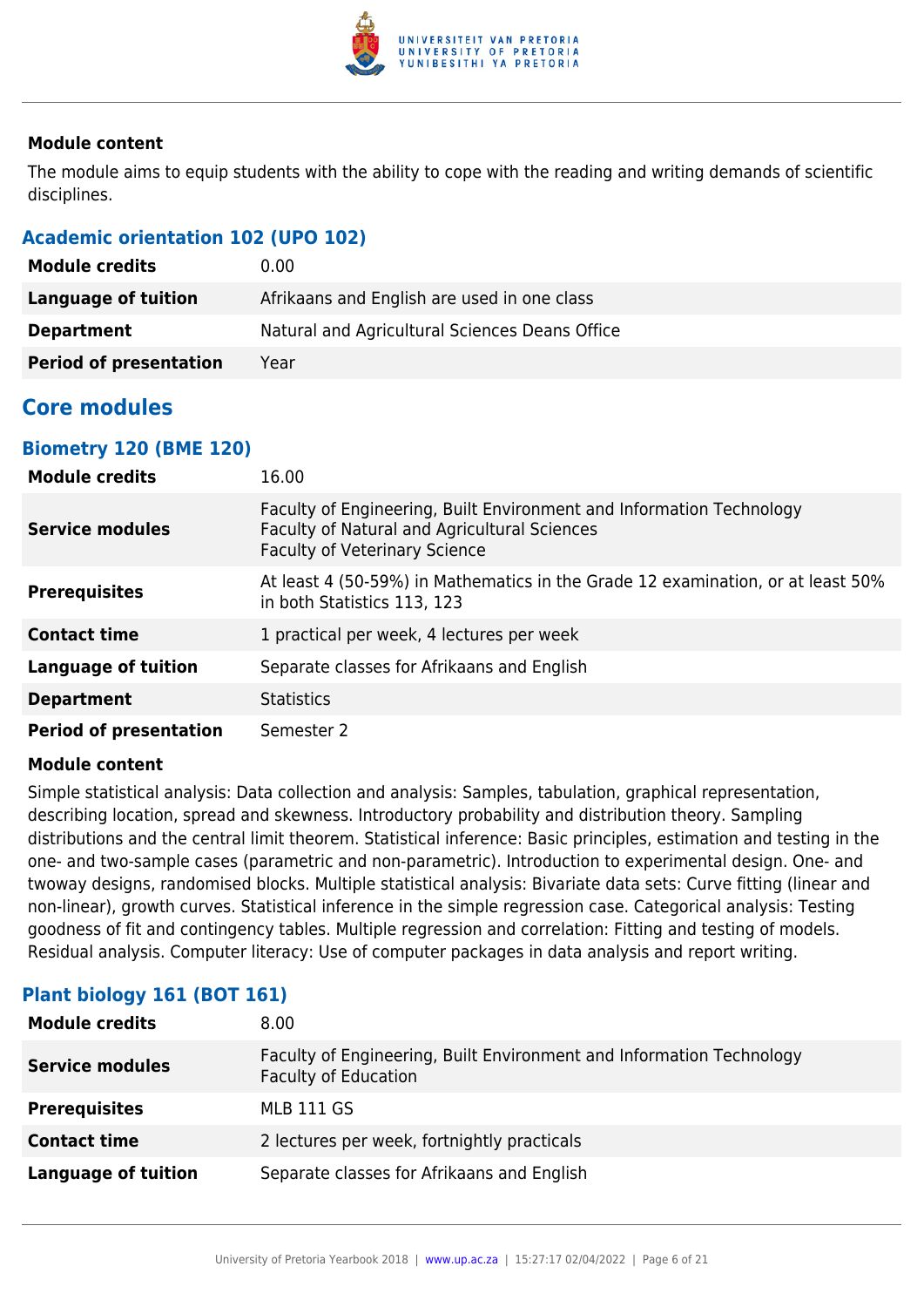

The module aims to equip students with the ability to cope with the reading and writing demands of scientific disciplines.

## **Academic orientation 102 (UPO 102)**

| <b>Module credits</b>         | 0.00                                           |
|-------------------------------|------------------------------------------------|
| Language of tuition           | Afrikaans and English are used in one class    |
| <b>Department</b>             | Natural and Agricultural Sciences Deans Office |
| <b>Period of presentation</b> | Year                                           |

## **Core modules**

## **Biometry 120 (BME 120)**

| <b>Module credits</b>         | 16.00                                                                                                                                                        |
|-------------------------------|--------------------------------------------------------------------------------------------------------------------------------------------------------------|
| <b>Service modules</b>        | Faculty of Engineering, Built Environment and Information Technology<br>Faculty of Natural and Agricultural Sciences<br><b>Faculty of Veterinary Science</b> |
| <b>Prerequisites</b>          | At least 4 (50-59%) in Mathematics in the Grade 12 examination, or at least 50%<br>in both Statistics 113, 123                                               |
| <b>Contact time</b>           | 1 practical per week, 4 lectures per week                                                                                                                    |
| <b>Language of tuition</b>    | Separate classes for Afrikaans and English                                                                                                                   |
| <b>Department</b>             | <b>Statistics</b>                                                                                                                                            |
| <b>Period of presentation</b> | Semester 2                                                                                                                                                   |

#### **Module content**

Simple statistical analysis: Data collection and analysis: Samples, tabulation, graphical representation, describing location, spread and skewness. Introductory probability and distribution theory. Sampling distributions and the central limit theorem. Statistical inference: Basic principles, estimation and testing in the one- and two-sample cases (parametric and non-parametric). Introduction to experimental design. One- and twoway designs, randomised blocks. Multiple statistical analysis: Bivariate data sets: Curve fitting (linear and non-linear), growth curves. Statistical inference in the simple regression case. Categorical analysis: Testing goodness of fit and contingency tables. Multiple regression and correlation: Fitting and testing of models. Residual analysis. Computer literacy: Use of computer packages in data analysis and report writing.

| <b>Module credits</b>      | 8.00                                                                                                |
|----------------------------|-----------------------------------------------------------------------------------------------------|
| <b>Service modules</b>     | Faculty of Engineering, Built Environment and Information Technology<br><b>Faculty of Education</b> |
| <b>Prerequisites</b>       | <b>MLB 111 GS</b>                                                                                   |
| <b>Contact time</b>        | 2 lectures per week, fortnightly practicals                                                         |
| <b>Language of tuition</b> | Separate classes for Afrikaans and English                                                          |

## **Plant biology 161 (BOT 161)**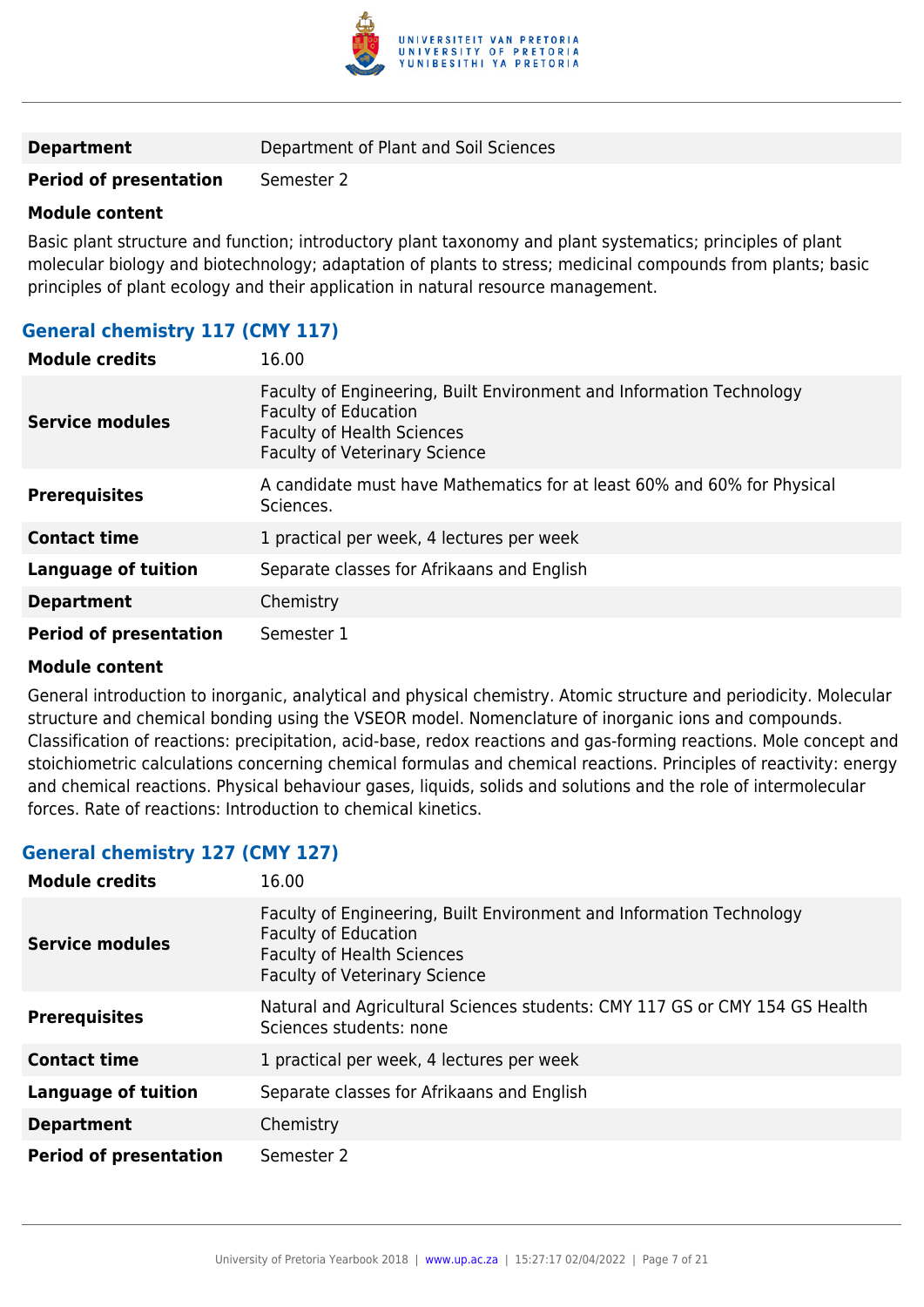

**Period of presentation** Semester 2

#### **Module content**

Basic plant structure and function; introductory plant taxonomy and plant systematics; principles of plant molecular biology and biotechnology; adaptation of plants to stress; medicinal compounds from plants; basic principles of plant ecology and their application in natural resource management.

## **General chemistry 117 (CMY 117)**

| <b>Module credits</b>         | 16.00                                                                                                                                                                            |
|-------------------------------|----------------------------------------------------------------------------------------------------------------------------------------------------------------------------------|
| <b>Service modules</b>        | Faculty of Engineering, Built Environment and Information Technology<br><b>Faculty of Education</b><br><b>Faculty of Health Sciences</b><br><b>Faculty of Veterinary Science</b> |
| <b>Prerequisites</b>          | A candidate must have Mathematics for at least 60% and 60% for Physical<br>Sciences.                                                                                             |
| <b>Contact time</b>           | 1 practical per week, 4 lectures per week                                                                                                                                        |
| <b>Language of tuition</b>    | Separate classes for Afrikaans and English                                                                                                                                       |
| <b>Department</b>             | Chemistry                                                                                                                                                                        |
| <b>Period of presentation</b> | Semester 1                                                                                                                                                                       |

#### **Module content**

General introduction to inorganic, analytical and physical chemistry. Atomic structure and periodicity. Molecular structure and chemical bonding using the VSEOR model. Nomenclature of inorganic ions and compounds. Classification of reactions: precipitation, acid-base, redox reactions and gas-forming reactions. Mole concept and stoichiometric calculations concerning chemical formulas and chemical reactions. Principles of reactivity: energy and chemical reactions. Physical behaviour gases, liquids, solids and solutions and the role of intermolecular forces. Rate of reactions: Introduction to chemical kinetics.

## **General chemistry 127 (CMY 127)**

| <b>Module credits</b>         | 16.00                                                                                                                                                                            |
|-------------------------------|----------------------------------------------------------------------------------------------------------------------------------------------------------------------------------|
| <b>Service modules</b>        | Faculty of Engineering, Built Environment and Information Technology<br><b>Faculty of Education</b><br><b>Faculty of Health Sciences</b><br><b>Faculty of Veterinary Science</b> |
| <b>Prerequisites</b>          | Natural and Agricultural Sciences students: CMY 117 GS or CMY 154 GS Health<br>Sciences students: none                                                                           |
| <b>Contact time</b>           | 1 practical per week, 4 lectures per week                                                                                                                                        |
| <b>Language of tuition</b>    | Separate classes for Afrikaans and English                                                                                                                                       |
| <b>Department</b>             | Chemistry                                                                                                                                                                        |
| <b>Period of presentation</b> | Semester 2                                                                                                                                                                       |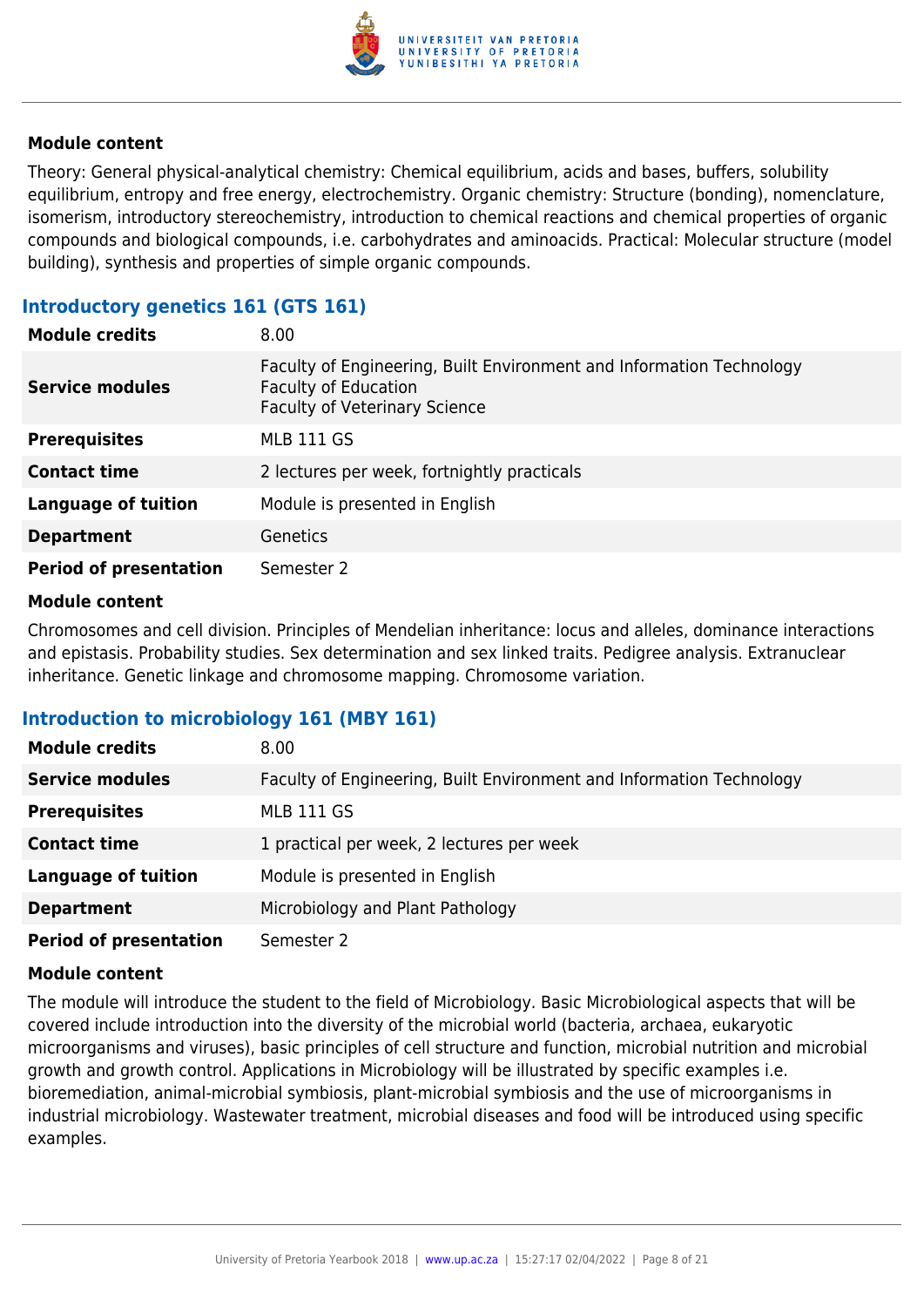

Theory: General physical-analytical chemistry: Chemical equilibrium, acids and bases, buffers, solubility equilibrium, entropy and free energy, electrochemistry. Organic chemistry: Structure (bonding), nomenclature, isomerism, introductory stereochemistry, introduction to chemical reactions and chemical properties of organic compounds and biological compounds, i.e. carbohydrates and aminoacids. Practical: Molecular structure (model building), synthesis and properties of simple organic compounds.

## **Introductory genetics 161 (GTS 161)**

| <b>Module credits</b>         | 8.00                                                                                                                                        |
|-------------------------------|---------------------------------------------------------------------------------------------------------------------------------------------|
| <b>Service modules</b>        | Faculty of Engineering, Built Environment and Information Technology<br><b>Faculty of Education</b><br><b>Faculty of Veterinary Science</b> |
| <b>Prerequisites</b>          | <b>MLB 111 GS</b>                                                                                                                           |
| <b>Contact time</b>           | 2 lectures per week, fortnightly practicals                                                                                                 |
| <b>Language of tuition</b>    | Module is presented in English                                                                                                              |
| <b>Department</b>             | <b>Genetics</b>                                                                                                                             |
| <b>Period of presentation</b> | Semester 2                                                                                                                                  |

#### **Module content**

Chromosomes and cell division. Principles of Mendelian inheritance: locus and alleles, dominance interactions and epistasis. Probability studies. Sex determination and sex linked traits. Pedigree analysis. Extranuclear inheritance. Genetic linkage and chromosome mapping. Chromosome variation.

## **Introduction to microbiology 161 (MBY 161)**

| <b>Module credits</b>         | 8.00                                                                 |
|-------------------------------|----------------------------------------------------------------------|
| <b>Service modules</b>        | Faculty of Engineering, Built Environment and Information Technology |
| <b>Prerequisites</b>          | <b>MLB 111 GS</b>                                                    |
| <b>Contact time</b>           | 1 practical per week, 2 lectures per week                            |
| <b>Language of tuition</b>    | Module is presented in English                                       |
| <b>Department</b>             | Microbiology and Plant Pathology                                     |
| <b>Period of presentation</b> | Semester 2                                                           |

#### **Module content**

The module will introduce the student to the field of Microbiology. Basic Microbiological aspects that will be covered include introduction into the diversity of the microbial world (bacteria, archaea, eukaryotic microorganisms and viruses), basic principles of cell structure and function, microbial nutrition and microbial growth and growth control. Applications in Microbiology will be illustrated by specific examples i.e. bioremediation, animal-microbial symbiosis, plant-microbial symbiosis and the use of microorganisms in industrial microbiology. Wastewater treatment, microbial diseases and food will be introduced using specific examples.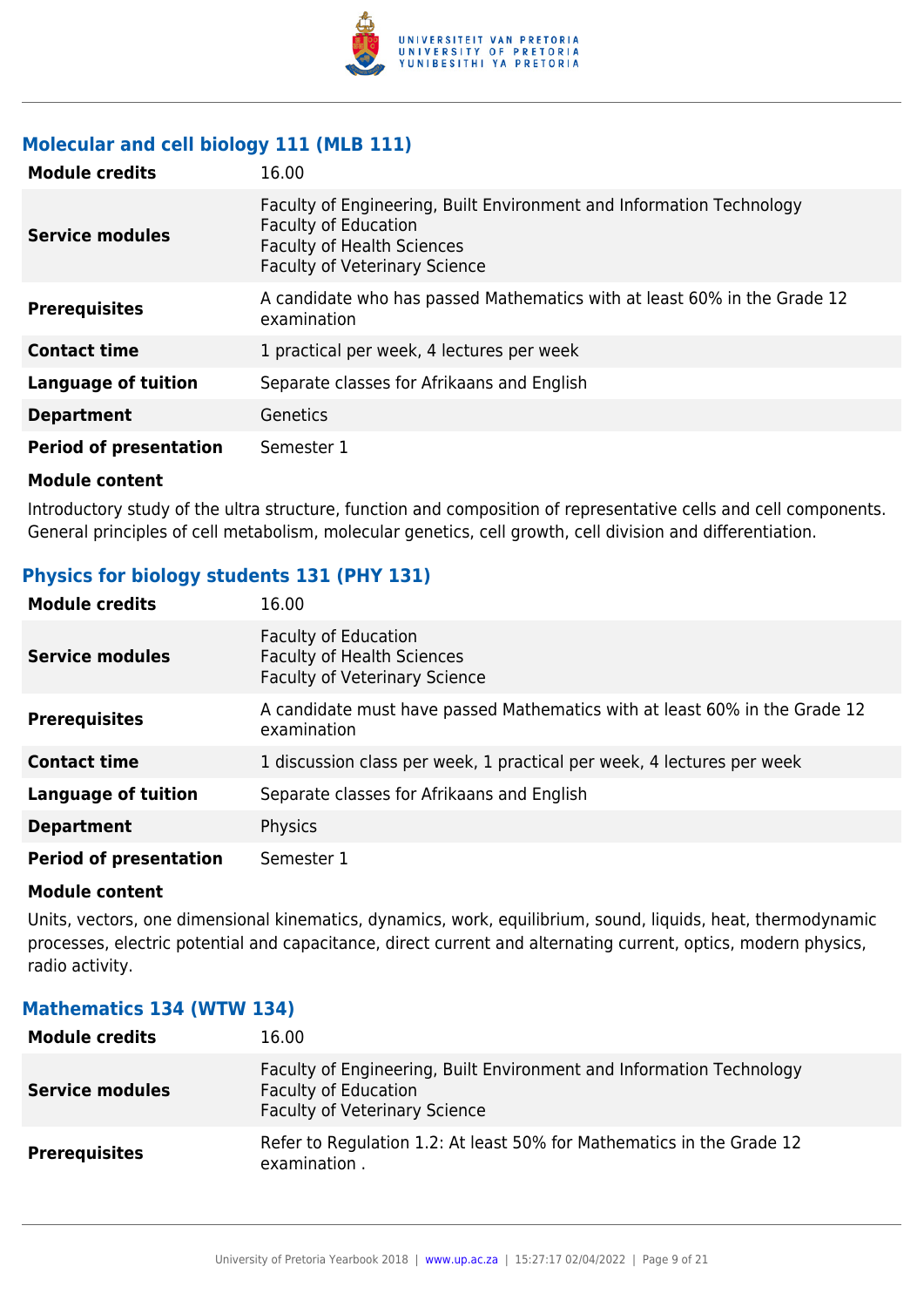

### **Molecular and cell biology 111 (MLB 111)**

| <b>Module credits</b>         | 16.00                                                                                                                                                                            |
|-------------------------------|----------------------------------------------------------------------------------------------------------------------------------------------------------------------------------|
| Service modules               | Faculty of Engineering, Built Environment and Information Technology<br><b>Faculty of Education</b><br><b>Faculty of Health Sciences</b><br><b>Faculty of Veterinary Science</b> |
| <b>Prerequisites</b>          | A candidate who has passed Mathematics with at least 60% in the Grade 12<br>examination                                                                                          |
| <b>Contact time</b>           | 1 practical per week, 4 lectures per week                                                                                                                                        |
| <b>Language of tuition</b>    | Separate classes for Afrikaans and English                                                                                                                                       |
| <b>Department</b>             | <b>Genetics</b>                                                                                                                                                                  |
| <b>Period of presentation</b> | Semester 1                                                                                                                                                                       |

#### **Module content**

Introductory study of the ultra structure, function and composition of representative cells and cell components. General principles of cell metabolism, molecular genetics, cell growth, cell division and differentiation.

## **Physics for biology students 131 (PHY 131)**

| <b>Module credits</b>         | 16.00                                                                                                    |
|-------------------------------|----------------------------------------------------------------------------------------------------------|
| <b>Service modules</b>        | <b>Faculty of Education</b><br><b>Faculty of Health Sciences</b><br><b>Faculty of Veterinary Science</b> |
| <b>Prerequisites</b>          | A candidate must have passed Mathematics with at least 60% in the Grade 12<br>examination                |
| <b>Contact time</b>           | 1 discussion class per week, 1 practical per week, 4 lectures per week                                   |
| <b>Language of tuition</b>    | Separate classes for Afrikaans and English                                                               |
| <b>Department</b>             | Physics                                                                                                  |
| <b>Period of presentation</b> | Semester 1                                                                                               |

#### **Module content**

Units, vectors, one dimensional kinematics, dynamics, work, equilibrium, sound, liquids, heat, thermodynamic processes, electric potential and capacitance, direct current and alternating current, optics, modern physics, radio activity.

## **Mathematics 134 (WTW 134) Module credits** 16.00

| PIUUUIT LITUILS        | TO'ON                                                                                                                                       |
|------------------------|---------------------------------------------------------------------------------------------------------------------------------------------|
| <b>Service modules</b> | Faculty of Engineering, Built Environment and Information Technology<br><b>Faculty of Education</b><br><b>Faculty of Veterinary Science</b> |
| <b>Prerequisites</b>   | Refer to Regulation 1.2: At least 50% for Mathematics in the Grade 12<br>examination.                                                       |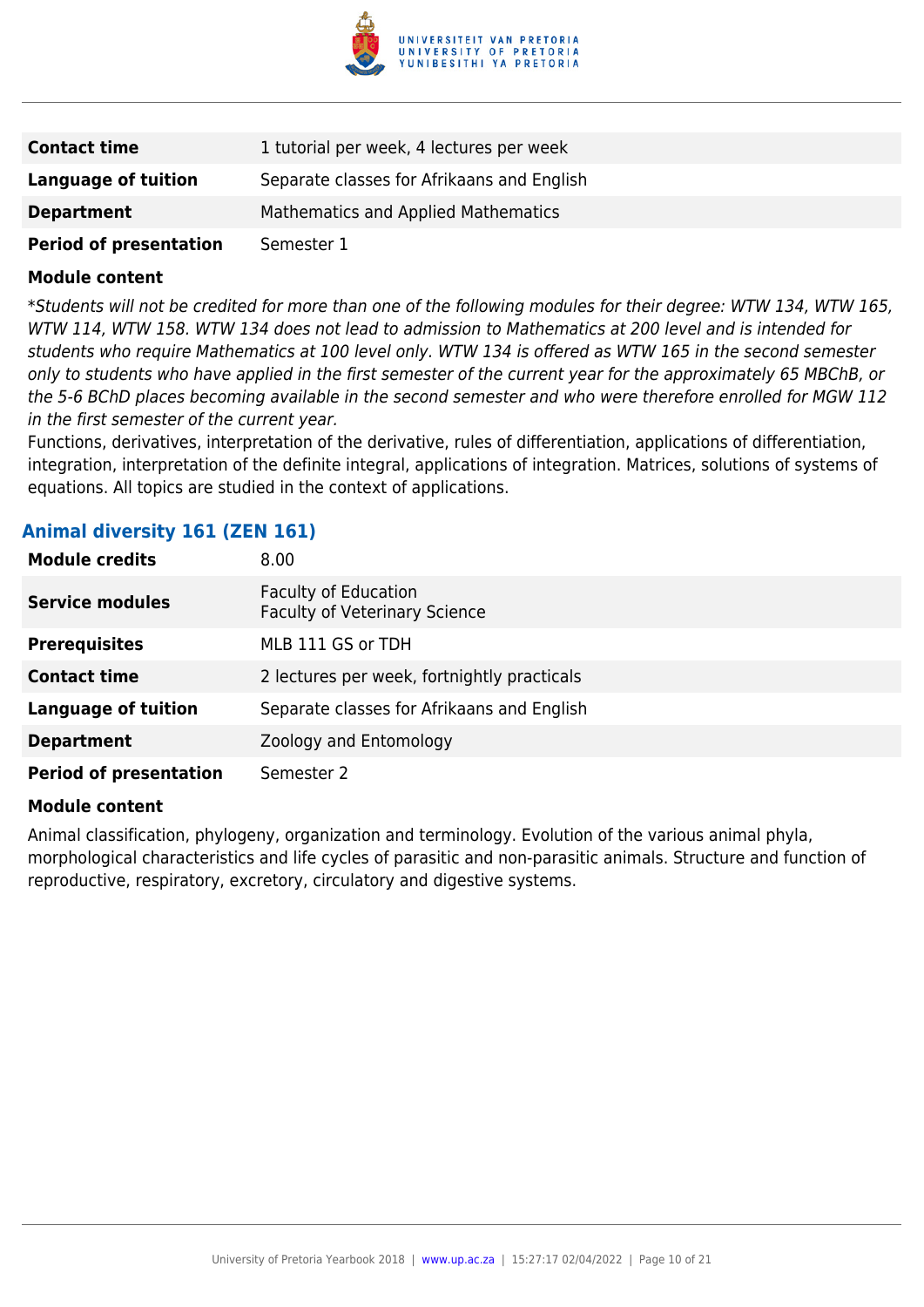

| <b>Contact time</b>           | 1 tutorial per week, 4 lectures per week   |
|-------------------------------|--------------------------------------------|
| Language of tuition           | Separate classes for Afrikaans and English |
| <b>Department</b>             | Mathematics and Applied Mathematics        |
| <b>Period of presentation</b> | Semester 1                                 |

\*Students will not be credited for more than one of the following modules for their degree: WTW 134, WTW 165, WTW 114, WTW 158. WTW 134 does not lead to admission to Mathematics at 200 level and is intended for students who require Mathematics at 100 level only. WTW 134 is offered as WTW 165 in the second semester only to students who have applied in the first semester of the current year for the approximately 65 MBChB, or the 5-6 BChD places becoming available in the second semester and who were therefore enrolled for MGW 112 in the first semester of the current year.

Functions, derivatives, interpretation of the derivative, rules of differentiation, applications of differentiation, integration, interpretation of the definite integral, applications of integration. Matrices, solutions of systems of equations. All topics are studied in the context of applications.

### **Animal diversity 161 (ZEN 161)**

| <b>Module credits</b>         | 8.00                                                                |
|-------------------------------|---------------------------------------------------------------------|
| <b>Service modules</b>        | <b>Faculty of Education</b><br><b>Faculty of Veterinary Science</b> |
| <b>Prerequisites</b>          | MLB 111 GS or TDH                                                   |
| <b>Contact time</b>           | 2 lectures per week, fortnightly practicals                         |
| <b>Language of tuition</b>    | Separate classes for Afrikaans and English                          |
| <b>Department</b>             | Zoology and Entomology                                              |
| <b>Period of presentation</b> | Semester 2                                                          |

#### **Module content**

Animal classification, phylogeny, organization and terminology. Evolution of the various animal phyla, morphological characteristics and life cycles of parasitic and non-parasitic animals. Structure and function of reproductive, respiratory, excretory, circulatory and digestive systems.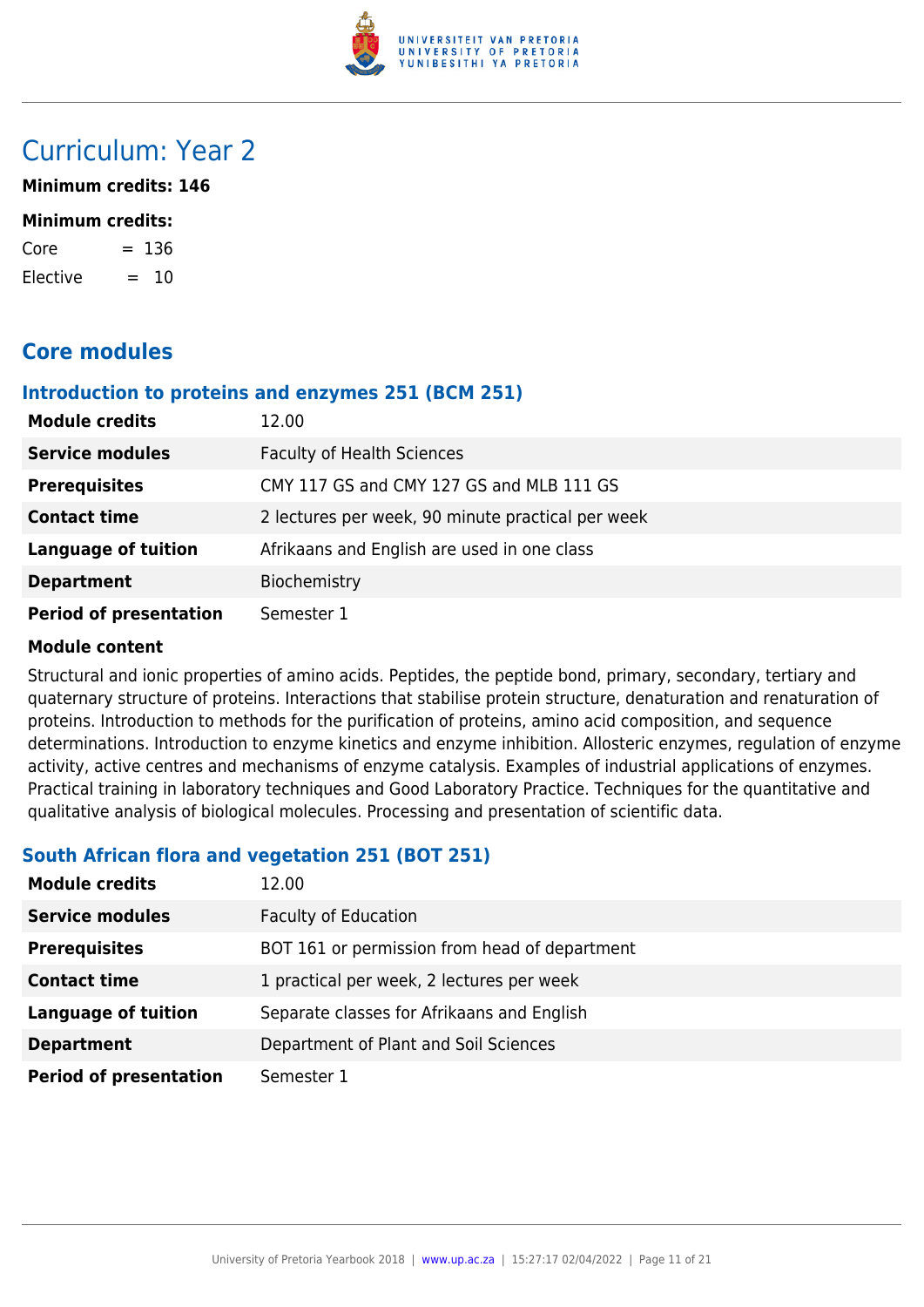

## Curriculum: Year 2

**Minimum credits: 146**

#### **Minimum credits:**

| Core     |     | $= 136$ |
|----------|-----|---------|
| Elective | $=$ | 10      |

## **Core modules**

### **Introduction to proteins and enzymes 251 (BCM 251)**

| <b>Module credits</b>         | 12.00                                             |
|-------------------------------|---------------------------------------------------|
| <b>Service modules</b>        | <b>Faculty of Health Sciences</b>                 |
| <b>Prerequisites</b>          | CMY 117 GS and CMY 127 GS and MLB 111 GS          |
| <b>Contact time</b>           | 2 lectures per week, 90 minute practical per week |
| <b>Language of tuition</b>    | Afrikaans and English are used in one class       |
| <b>Department</b>             | Biochemistry                                      |
| <b>Period of presentation</b> | Semester 1                                        |

#### **Module content**

Structural and ionic properties of amino acids. Peptides, the peptide bond, primary, secondary, tertiary and quaternary structure of proteins. Interactions that stabilise protein structure, denaturation and renaturation of proteins. Introduction to methods for the purification of proteins, amino acid composition, and sequence determinations. Introduction to enzyme kinetics and enzyme inhibition. Allosteric enzymes, regulation of enzyme activity, active centres and mechanisms of enzyme catalysis. Examples of industrial applications of enzymes. Practical training in laboratory techniques and Good Laboratory Practice. Techniques for the quantitative and qualitative analysis of biological molecules. Processing and presentation of scientific data.

## **South African flora and vegetation 251 (BOT 251)**

| <b>Module credits</b>         | 12.00                                         |
|-------------------------------|-----------------------------------------------|
| <b>Service modules</b>        | <b>Faculty of Education</b>                   |
| <b>Prerequisites</b>          | BOT 161 or permission from head of department |
| <b>Contact time</b>           | 1 practical per week, 2 lectures per week     |
| <b>Language of tuition</b>    | Separate classes for Afrikaans and English    |
| <b>Department</b>             | Department of Plant and Soil Sciences         |
| <b>Period of presentation</b> | Semester 1                                    |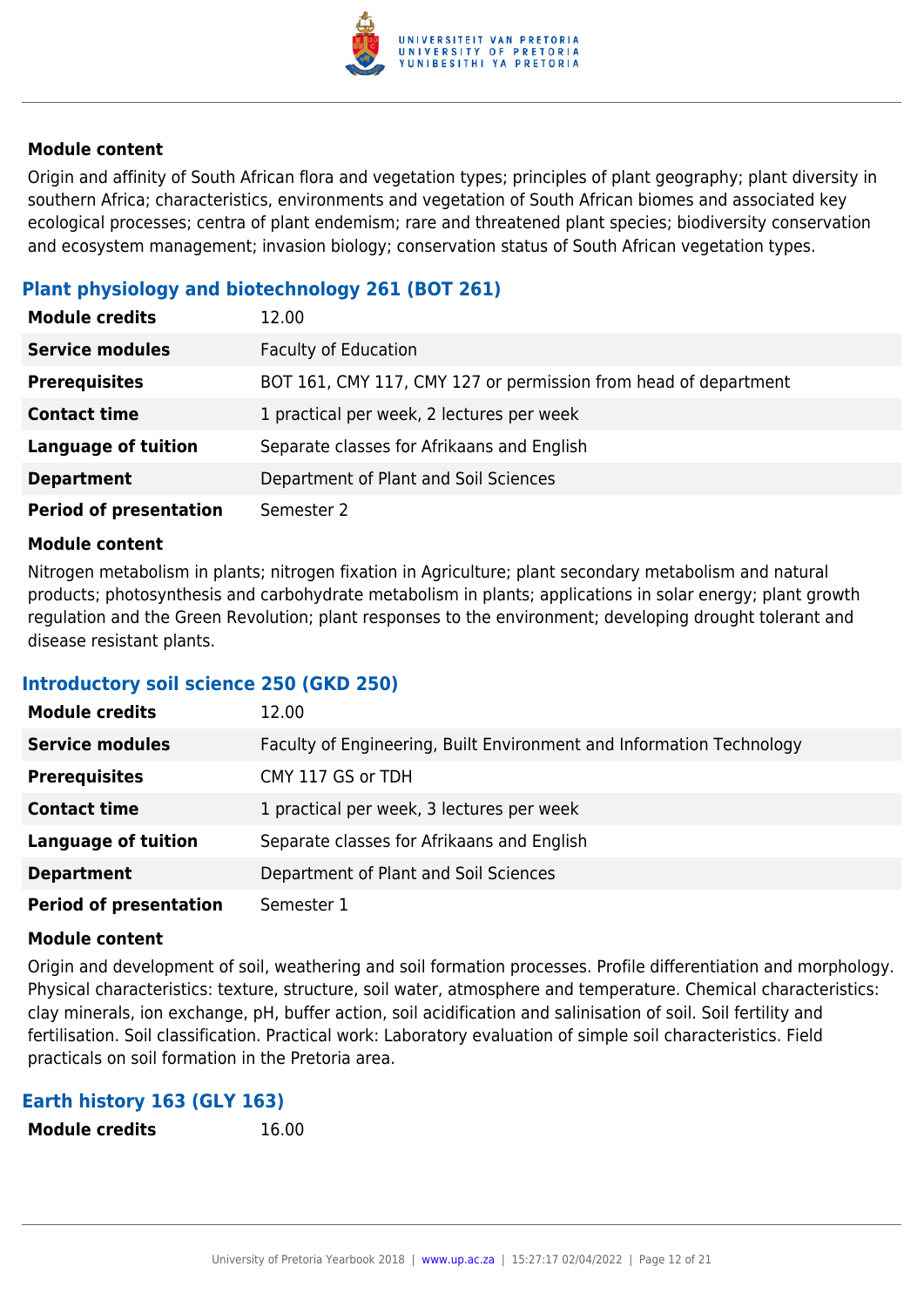

Origin and affinity of South African flora and vegetation types; principles of plant geography; plant diversity in southern Africa; characteristics, environments and vegetation of South African biomes and associated key ecological processes; centra of plant endemism; rare and threatened plant species; biodiversity conservation and ecosystem management; invasion biology; conservation status of South African vegetation types.

## **Plant physiology and biotechnology 261 (BOT 261)**

| <b>Module credits</b>         | 12.00                                                           |
|-------------------------------|-----------------------------------------------------------------|
| <b>Service modules</b>        | <b>Faculty of Education</b>                                     |
| <b>Prerequisites</b>          | BOT 161, CMY 117, CMY 127 or permission from head of department |
| <b>Contact time</b>           | 1 practical per week, 2 lectures per week                       |
| <b>Language of tuition</b>    | Separate classes for Afrikaans and English                      |
| <b>Department</b>             | Department of Plant and Soil Sciences                           |
| <b>Period of presentation</b> | Semester 2                                                      |

#### **Module content**

Nitrogen metabolism in plants; nitrogen fixation in Agriculture; plant secondary metabolism and natural products; photosynthesis and carbohydrate metabolism in plants; applications in solar energy; plant growth regulation and the Green Revolution; plant responses to the environment; developing drought tolerant and disease resistant plants.

#### **Introductory soil science 250 (GKD 250)**

| <b>Module credits</b>         | 12.00                                                                |
|-------------------------------|----------------------------------------------------------------------|
| <b>Service modules</b>        | Faculty of Engineering, Built Environment and Information Technology |
| <b>Prerequisites</b>          | CMY 117 GS or TDH                                                    |
| <b>Contact time</b>           | 1 practical per week, 3 lectures per week                            |
| <b>Language of tuition</b>    | Separate classes for Afrikaans and English                           |
| <b>Department</b>             | Department of Plant and Soil Sciences                                |
| <b>Period of presentation</b> | Semester 1                                                           |

#### **Module content**

Origin and development of soil, weathering and soil formation processes. Profile differentiation and morphology. Physical characteristics: texture, structure, soil water, atmosphere and temperature. Chemical characteristics: clay minerals, ion exchange, pH, buffer action, soil acidification and salinisation of soil. Soil fertility and fertilisation. Soil classification. Practical work: Laboratory evaluation of simple soil characteristics. Field practicals on soil formation in the Pretoria area.

#### **Earth history 163 (GLY 163)**

**Module credits** 16.00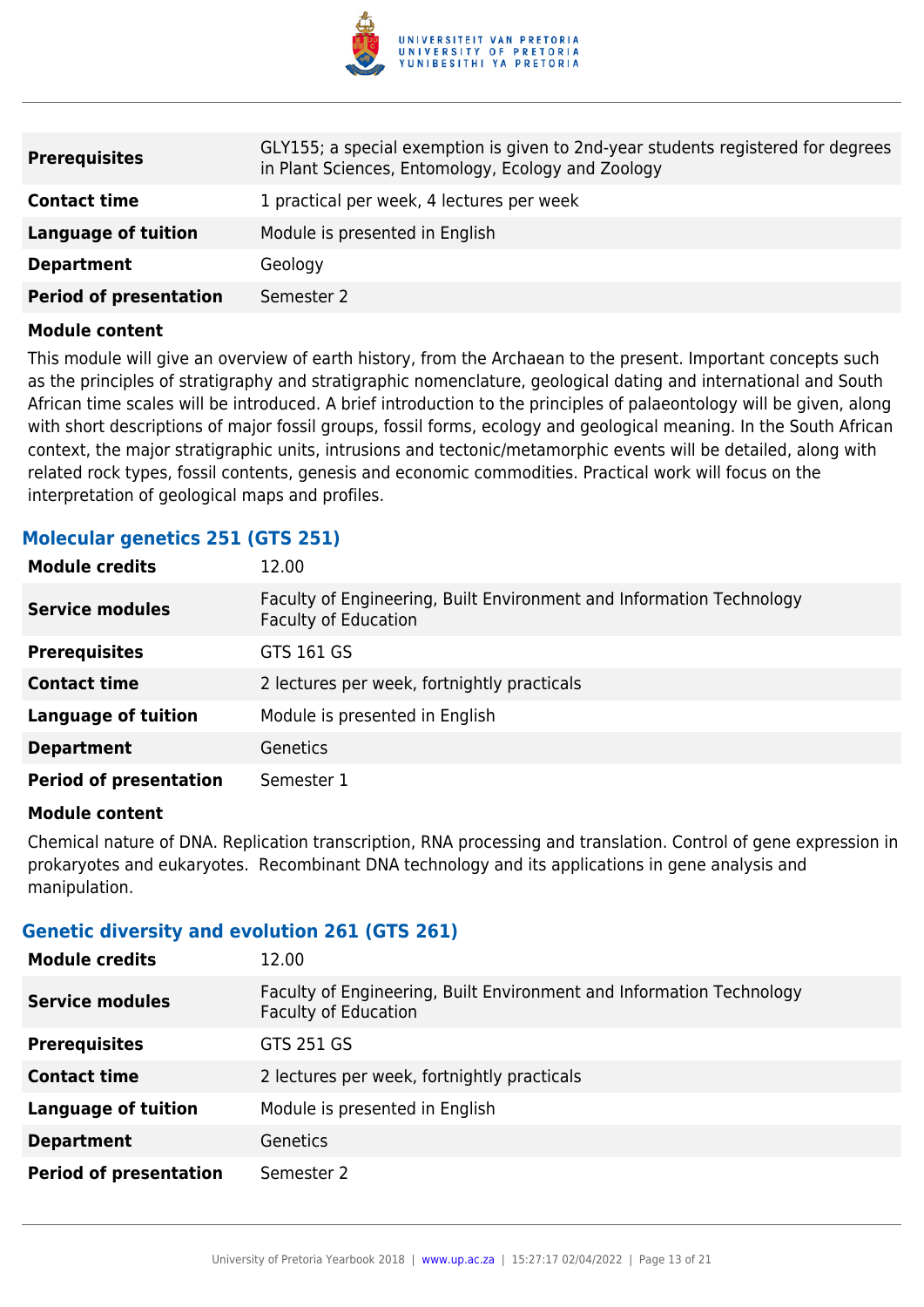

| <b>Prerequisites</b>          | GLY155; a special exemption is given to 2nd-year students registered for degrees<br>in Plant Sciences, Entomology, Ecology and Zoology |
|-------------------------------|----------------------------------------------------------------------------------------------------------------------------------------|
| <b>Contact time</b>           | 1 practical per week, 4 lectures per week                                                                                              |
| Language of tuition           | Module is presented in English                                                                                                         |
| <b>Department</b>             | Geology                                                                                                                                |
| <b>Period of presentation</b> | Semester 2                                                                                                                             |

This module will give an overview of earth history, from the Archaean to the present. Important concepts such as the principles of stratigraphy and stratigraphic nomenclature, geological dating and international and South African time scales will be introduced. A brief introduction to the principles of palaeontology will be given, along with short descriptions of major fossil groups, fossil forms, ecology and geological meaning. In the South African context, the major stratigraphic units, intrusions and tectonic/metamorphic events will be detailed, along with related rock types, fossil contents, genesis and economic commodities. Practical work will focus on the interpretation of geological maps and profiles.

### **Molecular genetics 251 (GTS 251)**

| <b>Module credits</b>         | 12.00                                                                                               |
|-------------------------------|-----------------------------------------------------------------------------------------------------|
| <b>Service modules</b>        | Faculty of Engineering, Built Environment and Information Technology<br><b>Faculty of Education</b> |
| <b>Prerequisites</b>          | GTS 161 GS                                                                                          |
| <b>Contact time</b>           | 2 lectures per week, fortnightly practicals                                                         |
| <b>Language of tuition</b>    | Module is presented in English                                                                      |
| <b>Department</b>             | Genetics                                                                                            |
| <b>Period of presentation</b> | Semester 1                                                                                          |

#### **Module content**

Chemical nature of DNA. Replication transcription, RNA processing and translation. Control of gene expression in prokaryotes and eukaryotes. Recombinant DNA technology and its applications in gene analysis and manipulation.

#### **Genetic diversity and evolution 261 (GTS 261)**

| <b>Module credits</b>         | 12.00                                                                                               |
|-------------------------------|-----------------------------------------------------------------------------------------------------|
| <b>Service modules</b>        | Faculty of Engineering, Built Environment and Information Technology<br><b>Faculty of Education</b> |
| <b>Prerequisites</b>          | GTS 251 GS                                                                                          |
| <b>Contact time</b>           | 2 lectures per week, fortnightly practicals                                                         |
| <b>Language of tuition</b>    | Module is presented in English                                                                      |
| <b>Department</b>             | <b>Genetics</b>                                                                                     |
| <b>Period of presentation</b> | Semester 2                                                                                          |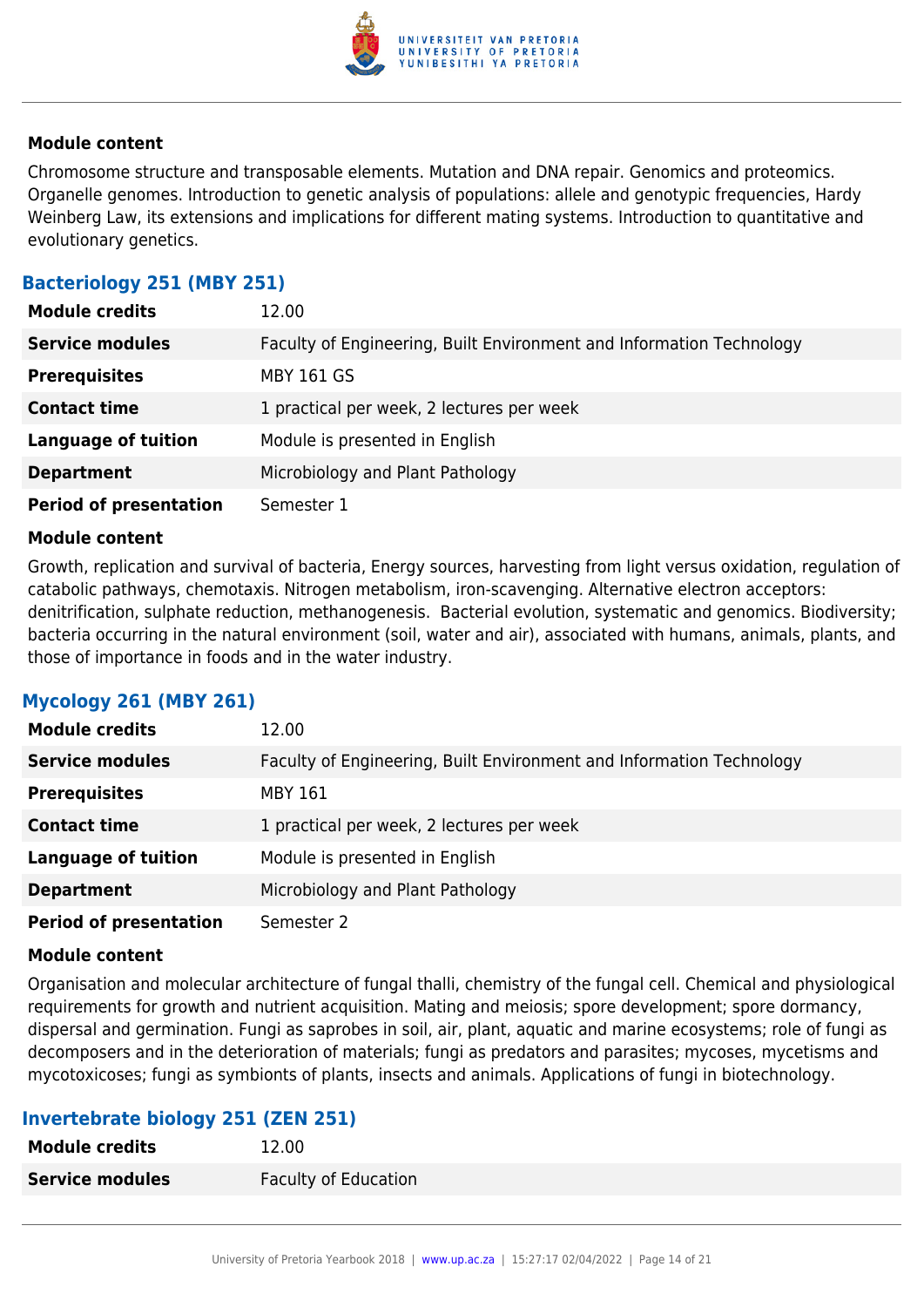

Chromosome structure and transposable elements. Mutation and DNA repair. Genomics and proteomics. Organelle genomes. Introduction to genetic analysis of populations: allele and genotypic frequencies, Hardy Weinberg Law, its extensions and implications for different mating systems. Introduction to quantitative and evolutionary genetics.

## **Bacteriology 251 (MBY 251)**

| <b>Module credits</b>         | 12.00                                                                |
|-------------------------------|----------------------------------------------------------------------|
| <b>Service modules</b>        | Faculty of Engineering, Built Environment and Information Technology |
| <b>Prerequisites</b>          | <b>MBY 161 GS</b>                                                    |
| <b>Contact time</b>           | 1 practical per week, 2 lectures per week                            |
| <b>Language of tuition</b>    | Module is presented in English                                       |
| <b>Department</b>             | Microbiology and Plant Pathology                                     |
| <b>Period of presentation</b> | Semester 1                                                           |

#### **Module content**

Growth, replication and survival of bacteria, Energy sources, harvesting from light versus oxidation, regulation of catabolic pathways, chemotaxis. Nitrogen metabolism, iron-scavenging. Alternative electron acceptors: denitrification, sulphate reduction, methanogenesis. Bacterial evolution, systematic and genomics. Biodiversity; bacteria occurring in the natural environment (soil, water and air), associated with humans, animals, plants, and those of importance in foods and in the water industry.

## **Mycology 261 (MBY 261)**

| <b>Module credits</b>         | 12.00                                                                |
|-------------------------------|----------------------------------------------------------------------|
| <b>Service modules</b>        | Faculty of Engineering, Built Environment and Information Technology |
| <b>Prerequisites</b>          | <b>MBY 161</b>                                                       |
| <b>Contact time</b>           | 1 practical per week, 2 lectures per week                            |
| <b>Language of tuition</b>    | Module is presented in English                                       |
| <b>Department</b>             | Microbiology and Plant Pathology                                     |
| <b>Period of presentation</b> | Semester 2                                                           |

#### **Module content**

Organisation and molecular architecture of fungal thalli, chemistry of the fungal cell. Chemical and physiological requirements for growth and nutrient acquisition. Mating and meiosis; spore development; spore dormancy, dispersal and germination. Fungi as saprobes in soil, air, plant, aquatic and marine ecosystems; role of fungi as decomposers and in the deterioration of materials; fungi as predators and parasites; mycoses, mycetisms and mycotoxicoses; fungi as symbionts of plants, insects and animals. Applications of fungi in biotechnology.

## **Invertebrate biology 251 (ZEN 251)**

| <b>Module credits</b>  | 12.00                       |
|------------------------|-----------------------------|
| <b>Service modules</b> | <b>Faculty of Education</b> |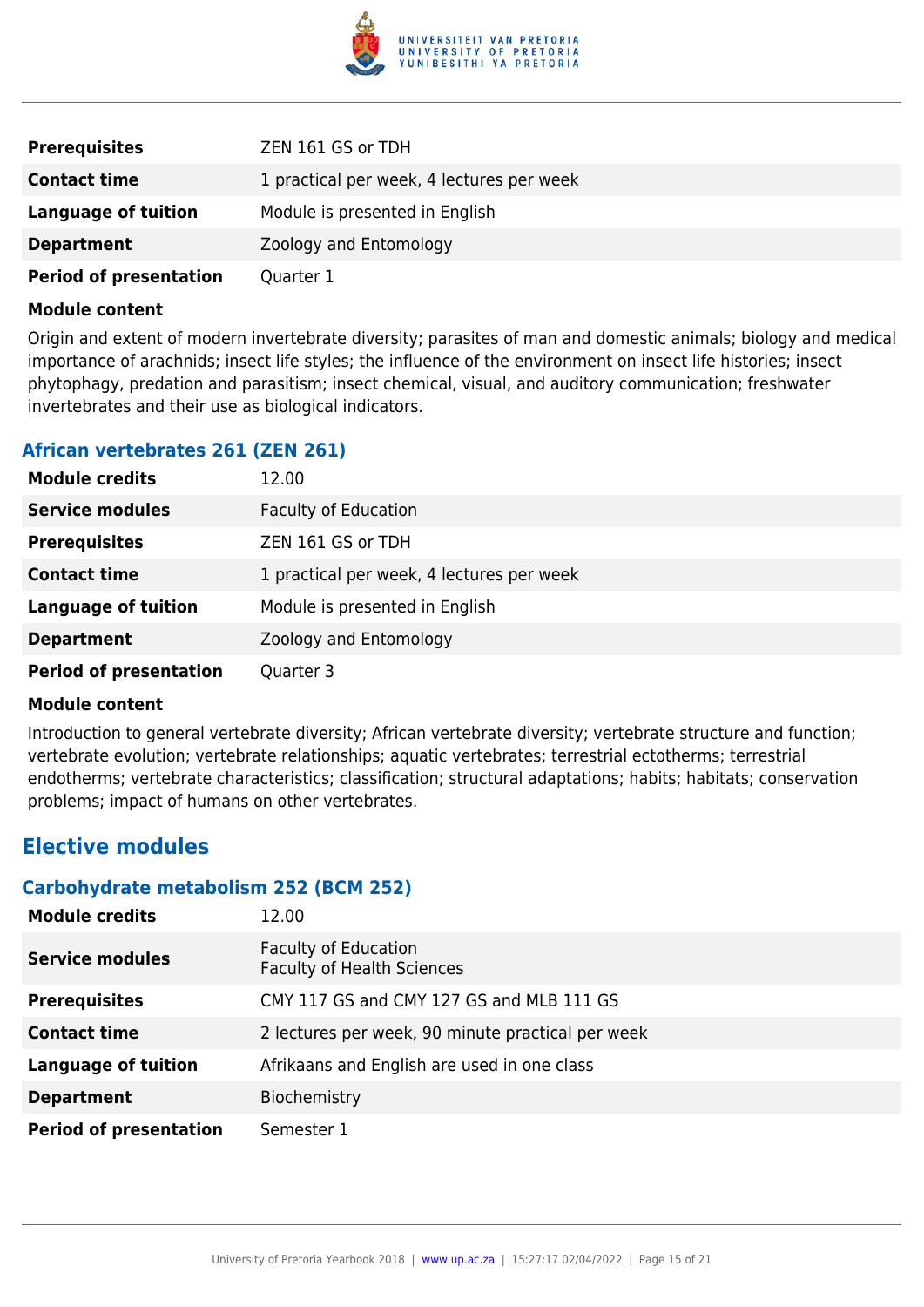

| <b>Prerequisites</b>          | ZEN 161 GS or TDH                         |
|-------------------------------|-------------------------------------------|
| <b>Contact time</b>           | 1 practical per week, 4 lectures per week |
| Language of tuition           | Module is presented in English            |
| <b>Department</b>             | Zoology and Entomology                    |
| <b>Period of presentation</b> | Quarter 1                                 |

Origin and extent of modern invertebrate diversity; parasites of man and domestic animals; biology and medical importance of arachnids; insect life styles; the influence of the environment on insect life histories; insect phytophagy, predation and parasitism; insect chemical, visual, and auditory communication; freshwater invertebrates and their use as biological indicators.

### **African vertebrates 261 (ZEN 261)**

| <b>Module credits</b>         | 12.00                                     |
|-------------------------------|-------------------------------------------|
| <b>Service modules</b>        | <b>Faculty of Education</b>               |
| <b>Prerequisites</b>          | ZEN 161 GS or TDH                         |
| <b>Contact time</b>           | 1 practical per week, 4 lectures per week |
| <b>Language of tuition</b>    | Module is presented in English            |
| <b>Department</b>             | Zoology and Entomology                    |
| <b>Period of presentation</b> | Quarter 3                                 |

#### **Module content**

Introduction to general vertebrate diversity; African vertebrate diversity; vertebrate structure and function; vertebrate evolution; vertebrate relationships; aquatic vertebrates; terrestrial ectotherms; terrestrial endotherms; vertebrate characteristics; classification; structural adaptations; habits; habitats; conservation problems; impact of humans on other vertebrates.

## **Elective modules**

#### **Carbohydrate metabolism 252 (BCM 252)**

| <b>Module credits</b>         | 12.00                                                            |
|-------------------------------|------------------------------------------------------------------|
| <b>Service modules</b>        | <b>Faculty of Education</b><br><b>Faculty of Health Sciences</b> |
| <b>Prerequisites</b>          | CMY 117 GS and CMY 127 GS and MLB 111 GS                         |
| <b>Contact time</b>           | 2 lectures per week, 90 minute practical per week                |
| <b>Language of tuition</b>    | Afrikaans and English are used in one class                      |
| <b>Department</b>             | Biochemistry                                                     |
| <b>Period of presentation</b> | Semester 1                                                       |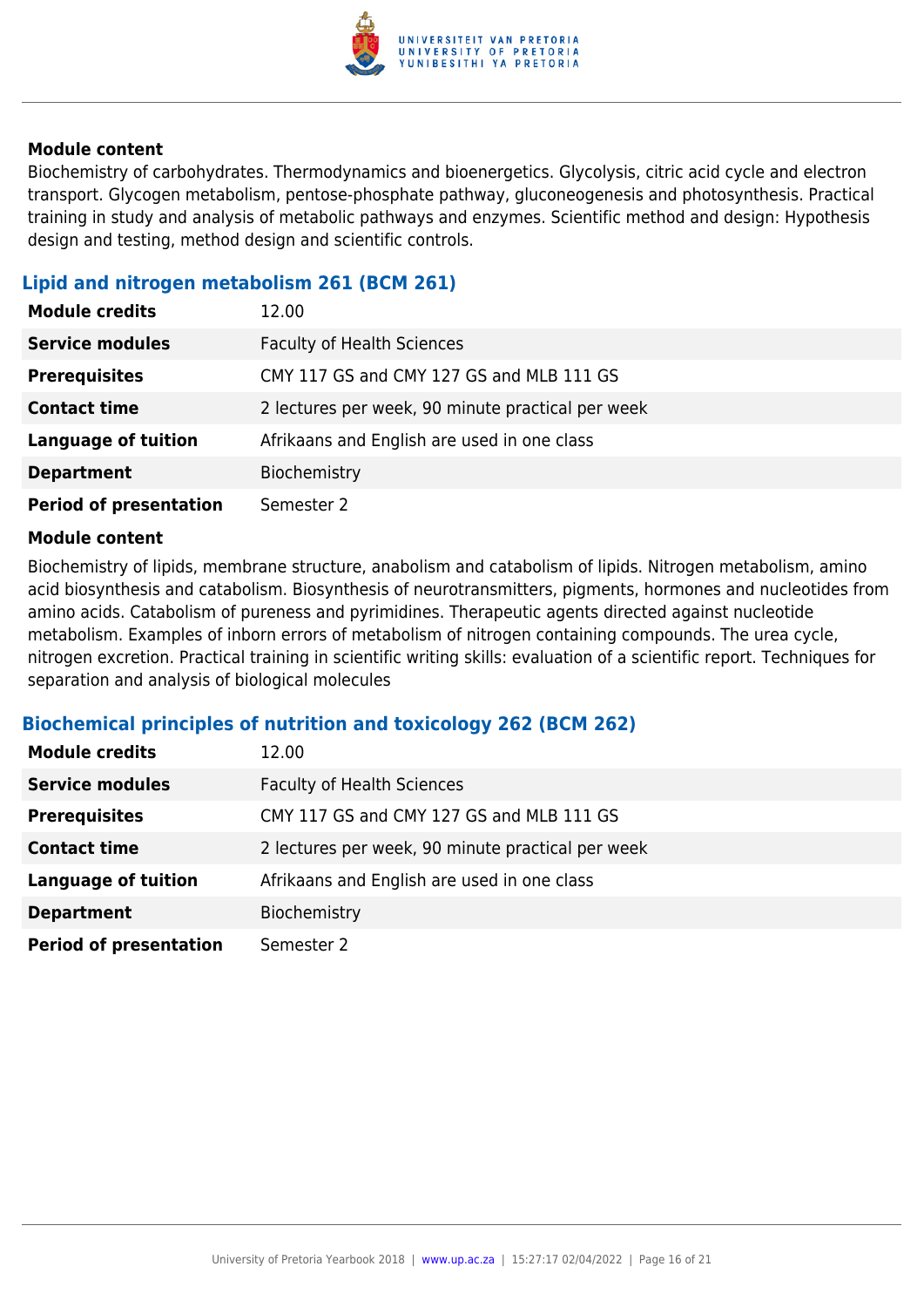

Biochemistry of carbohydrates. Thermodynamics and bioenergetics. Glycolysis, citric acid cycle and electron transport. Glycogen metabolism, pentose-phosphate pathway, gluconeogenesis and photosynthesis. Practical training in study and analysis of metabolic pathways and enzymes. Scientific method and design: Hypothesis design and testing, method design and scientific controls.

### **Lipid and nitrogen metabolism 261 (BCM 261)**

| <b>Module credits</b>         | 12.00                                             |
|-------------------------------|---------------------------------------------------|
| <b>Service modules</b>        | <b>Faculty of Health Sciences</b>                 |
| <b>Prerequisites</b>          | CMY 117 GS and CMY 127 GS and MLB 111 GS          |
| <b>Contact time</b>           | 2 lectures per week, 90 minute practical per week |
| <b>Language of tuition</b>    | Afrikaans and English are used in one class       |
| <b>Department</b>             | Biochemistry                                      |
| <b>Period of presentation</b> | Semester 2                                        |

#### **Module content**

Biochemistry of lipids, membrane structure, anabolism and catabolism of lipids. Nitrogen metabolism, amino acid biosynthesis and catabolism. Biosynthesis of neurotransmitters, pigments, hormones and nucleotides from amino acids. Catabolism of pureness and pyrimidines. Therapeutic agents directed against nucleotide metabolism. Examples of inborn errors of metabolism of nitrogen containing compounds. The urea cycle, nitrogen excretion. Practical training in scientific writing skills: evaluation of a scientific report. Techniques for separation and analysis of biological molecules

#### **Biochemical principles of nutrition and toxicology 262 (BCM 262)**

| <b>Module credits</b>         | 12.00                                             |
|-------------------------------|---------------------------------------------------|
| <b>Service modules</b>        | <b>Faculty of Health Sciences</b>                 |
| <b>Prerequisites</b>          | CMY 117 GS and CMY 127 GS and MLB 111 GS          |
| <b>Contact time</b>           | 2 lectures per week, 90 minute practical per week |
| <b>Language of tuition</b>    | Afrikaans and English are used in one class       |
| <b>Department</b>             | Biochemistry                                      |
| <b>Period of presentation</b> | Semester 2                                        |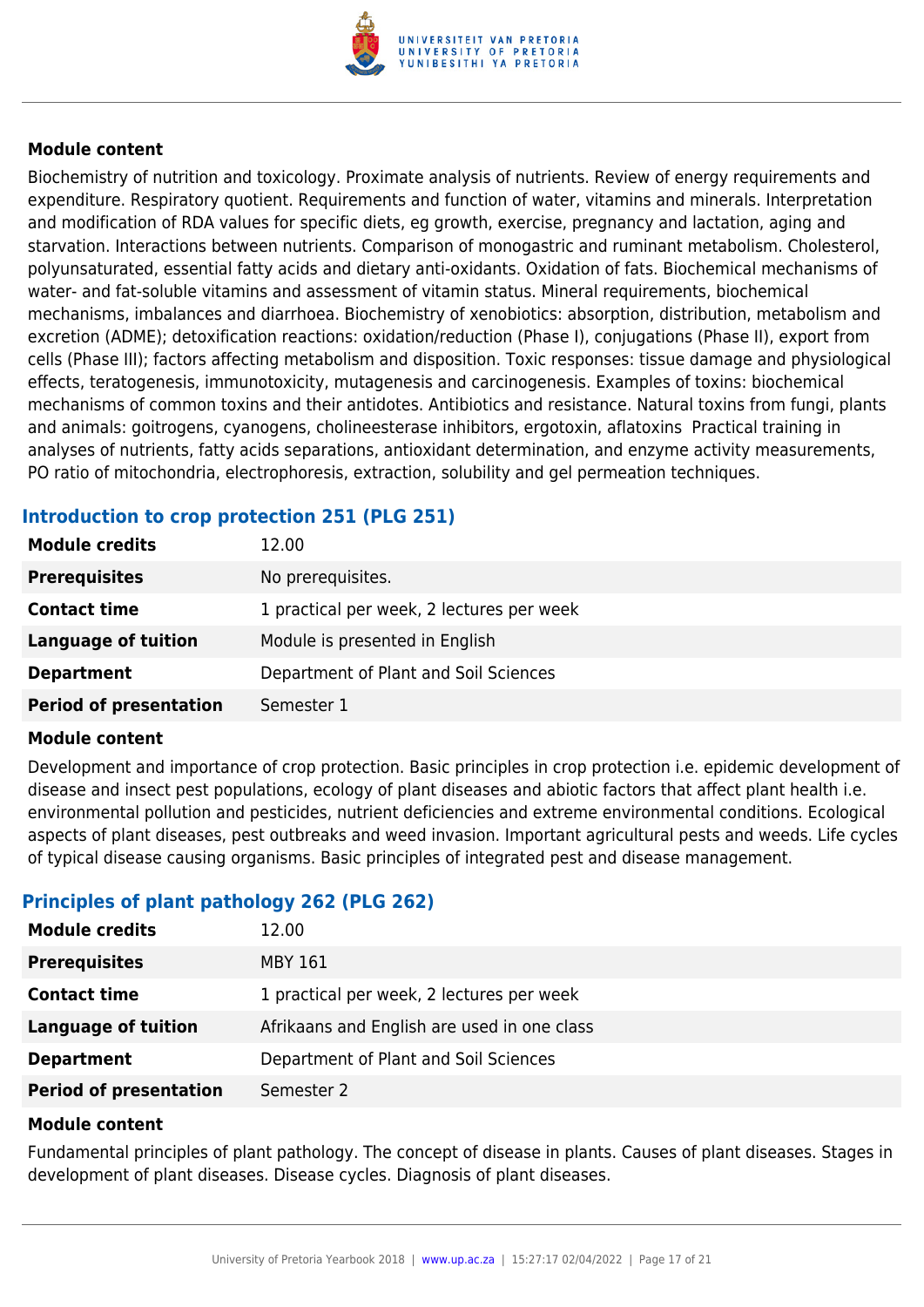

Biochemistry of nutrition and toxicology. Proximate analysis of nutrients. Review of energy requirements and expenditure. Respiratory quotient. Requirements and function of water, vitamins and minerals. Interpretation and modification of RDA values for specific diets, eg growth, exercise, pregnancy and lactation, aging and starvation. Interactions between nutrients. Comparison of monogastric and ruminant metabolism. Cholesterol, polyunsaturated, essential fatty acids and dietary anti-oxidants. Oxidation of fats. Biochemical mechanisms of water- and fat-soluble vitamins and assessment of vitamin status. Mineral requirements, biochemical mechanisms, imbalances and diarrhoea. Biochemistry of xenobiotics: absorption, distribution, metabolism and excretion (ADME); detoxification reactions: oxidation/reduction (Phase I), conjugations (Phase II), export from cells (Phase III); factors affecting metabolism and disposition. Toxic responses: tissue damage and physiological effects, teratogenesis, immunotoxicity, mutagenesis and carcinogenesis. Examples of toxins: biochemical mechanisms of common toxins and their antidotes. Antibiotics and resistance. Natural toxins from fungi, plants and animals: goitrogens, cyanogens, cholineesterase inhibitors, ergotoxin, aflatoxins Practical training in analyses of nutrients, fatty acids separations, antioxidant determination, and enzyme activity measurements, PO ratio of mitochondria, electrophoresis, extraction, solubility and gel permeation techniques.

## **Introduction to crop protection 251 (PLG 251)**

| <b>Module credits</b>         | 12.00                                     |
|-------------------------------|-------------------------------------------|
| <b>Prerequisites</b>          | No prerequisites.                         |
| <b>Contact time</b>           | 1 practical per week, 2 lectures per week |
| <b>Language of tuition</b>    | Module is presented in English            |
| <b>Department</b>             | Department of Plant and Soil Sciences     |
| <b>Period of presentation</b> | Semester 1                                |

#### **Module content**

Development and importance of crop protection. Basic principles in crop protection i.e. epidemic development of disease and insect pest populations, ecology of plant diseases and abiotic factors that affect plant health i.e. environmental pollution and pesticides, nutrient deficiencies and extreme environmental conditions. Ecological aspects of plant diseases, pest outbreaks and weed invasion. Important agricultural pests and weeds. Life cycles of typical disease causing organisms. Basic principles of integrated pest and disease management.

## **Principles of plant pathology 262 (PLG 262)**

| <b>Module credits</b>         | 12.00                                       |
|-------------------------------|---------------------------------------------|
| <b>Prerequisites</b>          | <b>MBY 161</b>                              |
| <b>Contact time</b>           | 1 practical per week, 2 lectures per week   |
| Language of tuition           | Afrikaans and English are used in one class |
| <b>Department</b>             | Department of Plant and Soil Sciences       |
| <b>Period of presentation</b> | Semester 2                                  |

#### **Module content**

Fundamental principles of plant pathology. The concept of disease in plants. Causes of plant diseases. Stages in development of plant diseases. Disease cycles. Diagnosis of plant diseases.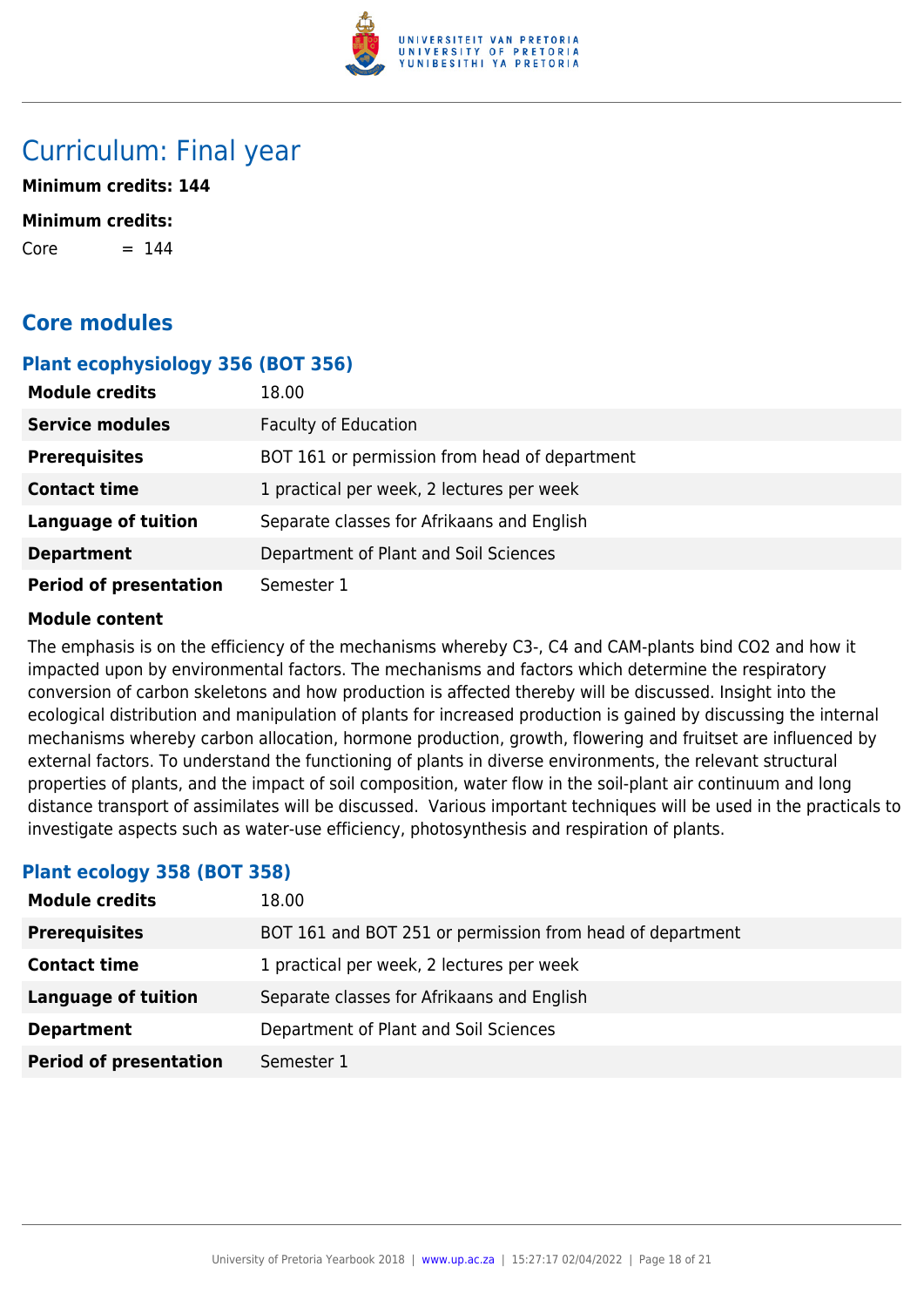

## Curriculum: Final year

**Minimum credits: 144**

#### **Minimum credits:**

 $Core = 144$ 

## **Core modules**

#### **Plant ecophysiology 356 (BOT 356)**

| <b>Module credits</b>         | 18.00                                         |
|-------------------------------|-----------------------------------------------|
| <b>Service modules</b>        | <b>Faculty of Education</b>                   |
| <b>Prerequisites</b>          | BOT 161 or permission from head of department |
| <b>Contact time</b>           | 1 practical per week, 2 lectures per week     |
| <b>Language of tuition</b>    | Separate classes for Afrikaans and English    |
| <b>Department</b>             | Department of Plant and Soil Sciences         |
| <b>Period of presentation</b> | Semester 1                                    |

#### **Module content**

The emphasis is on the efficiency of the mechanisms whereby C3-, C4 and CAM-plants bind CO2 and how it impacted upon by environmental factors. The mechanisms and factors which determine the respiratory conversion of carbon skeletons and how production is affected thereby will be discussed. Insight into the ecological distribution and manipulation of plants for increased production is gained by discussing the internal mechanisms whereby carbon allocation, hormone production, growth, flowering and fruitset are influenced by external factors. To understand the functioning of plants in diverse environments, the relevant structural properties of plants, and the impact of soil composition, water flow in the soil-plant air continuum and long distance transport of assimilates will be discussed. Various important techniques will be used in the practicals to investigate aspects such as water-use efficiency, photosynthesis and respiration of plants.

#### **Plant ecology 358 (BOT 358)**

| <b>Module credits</b>         | 18.00                                                     |
|-------------------------------|-----------------------------------------------------------|
| <b>Prerequisites</b>          | BOT 161 and BOT 251 or permission from head of department |
| <b>Contact time</b>           | 1 practical per week, 2 lectures per week                 |
| <b>Language of tuition</b>    | Separate classes for Afrikaans and English                |
| <b>Department</b>             | Department of Plant and Soil Sciences                     |
| <b>Period of presentation</b> | Semester 1                                                |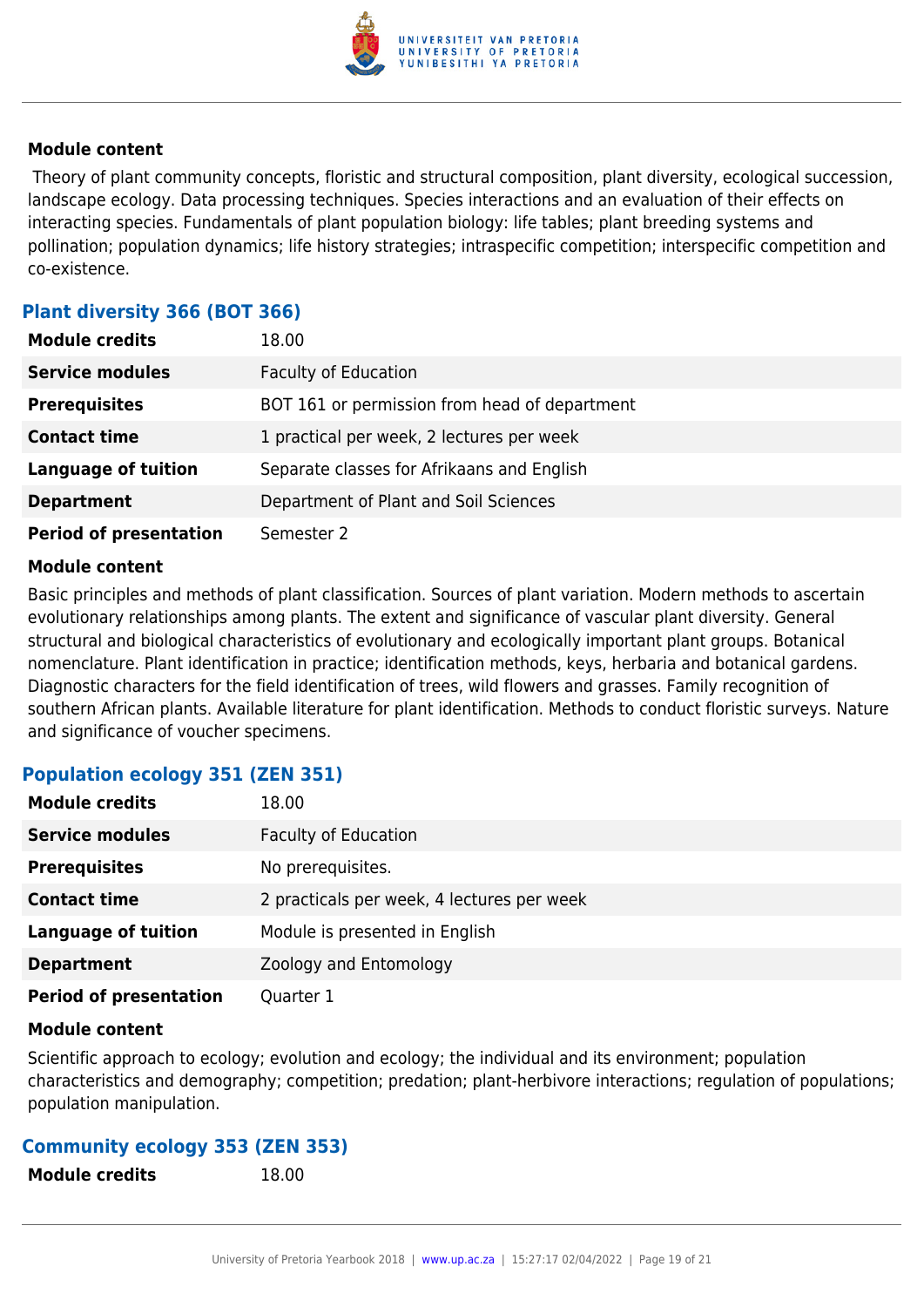

 Theory of plant community concepts, floristic and structural composition, plant diversity, ecological succession, landscape ecology. Data processing techniques. Species interactions and an evaluation of their effects on interacting species. Fundamentals of plant population biology: life tables; plant breeding systems and pollination; population dynamics; life history strategies; intraspecific competition; interspecific competition and co-existence.

### **Plant diversity 366 (BOT 366)**

| <b>Module credits</b>         | 18.00                                         |
|-------------------------------|-----------------------------------------------|
| <b>Service modules</b>        | <b>Faculty of Education</b>                   |
| <b>Prerequisites</b>          | BOT 161 or permission from head of department |
| <b>Contact time</b>           | 1 practical per week, 2 lectures per week     |
| <b>Language of tuition</b>    | Separate classes for Afrikaans and English    |
| <b>Department</b>             | Department of Plant and Soil Sciences         |
| <b>Period of presentation</b> | Semester 2                                    |

#### **Module content**

Basic principles and methods of plant classification. Sources of plant variation. Modern methods to ascertain evolutionary relationships among plants. The extent and significance of vascular plant diversity. General structural and biological characteristics of evolutionary and ecologically important plant groups. Botanical nomenclature. Plant identification in practice; identification methods, keys, herbaria and botanical gardens. Diagnostic characters for the field identification of trees, wild flowers and grasses. Family recognition of southern African plants. Available literature for plant identification. Methods to conduct floristic surveys. Nature and significance of voucher specimens.

## **Population ecology 351 (ZEN 351)**

| <b>Module credits</b>         | 18.00                                      |
|-------------------------------|--------------------------------------------|
| <b>Service modules</b>        | <b>Faculty of Education</b>                |
| <b>Prerequisites</b>          | No prerequisites.                          |
| <b>Contact time</b>           | 2 practicals per week, 4 lectures per week |
| <b>Language of tuition</b>    | Module is presented in English             |
| <b>Department</b>             | Zoology and Entomology                     |
| <b>Period of presentation</b> | Quarter 1                                  |

#### **Module content**

Scientific approach to ecology; evolution and ecology; the individual and its environment; population characteristics and demography; competition; predation; plant-herbivore interactions; regulation of populations; population manipulation.

#### **Community ecology 353 (ZEN 353)**

**Module credits** 18.00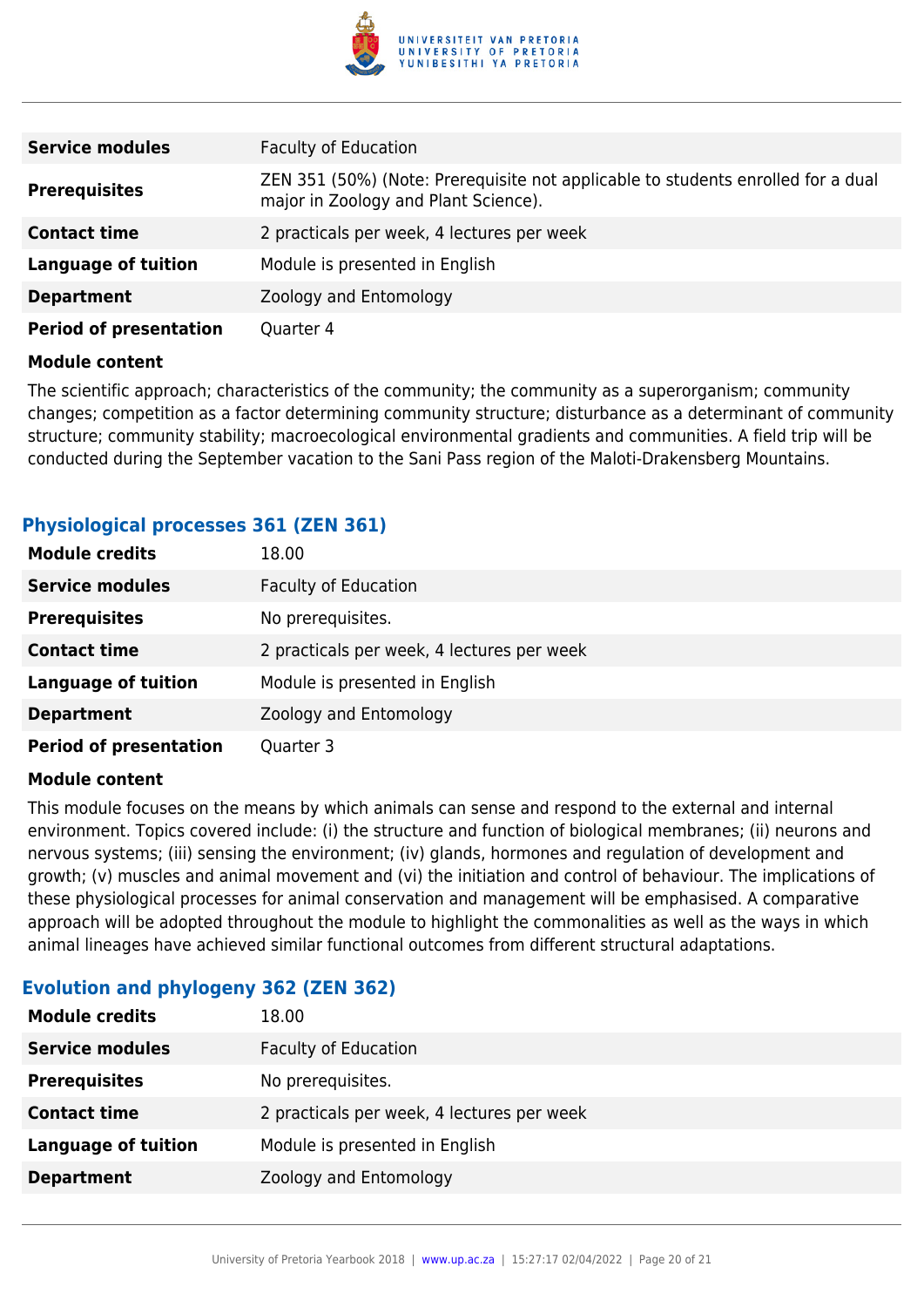

| <b>Service modules</b>        | <b>Faculty of Education</b>                                                                                              |  |  |
|-------------------------------|--------------------------------------------------------------------------------------------------------------------------|--|--|
| <b>Prerequisites</b>          | ZEN 351 (50%) (Note: Prerequisite not applicable to students enrolled for a dual<br>major in Zoology and Plant Science). |  |  |
| <b>Contact time</b>           | 2 practicals per week, 4 lectures per week                                                                               |  |  |
| <b>Language of tuition</b>    | Module is presented in English                                                                                           |  |  |
| <b>Department</b>             | Zoology and Entomology                                                                                                   |  |  |
| <b>Period of presentation</b> | Quarter 4                                                                                                                |  |  |

The scientific approach; characteristics of the community; the community as a superorganism; community changes; competition as a factor determining community structure; disturbance as a determinant of community structure; community stability; macroecological environmental gradients and communities. A field trip will be conducted during the September vacation to the Sani Pass region of the Maloti-Drakensberg Mountains.

| <b>Module credits</b>         | 18.00                                      |
|-------------------------------|--------------------------------------------|
| <b>Service modules</b>        | <b>Faculty of Education</b>                |
| <b>Prerequisites</b>          | No prerequisites.                          |
| <b>Contact time</b>           | 2 practicals per week, 4 lectures per week |
| <b>Language of tuition</b>    | Module is presented in English             |
| <b>Department</b>             | Zoology and Entomology                     |
| <b>Period of presentation</b> | Quarter 3                                  |

## **Physiological processes 361 (ZEN 361)**

#### **Module content**

This module focuses on the means by which animals can sense and respond to the external and internal environment. Topics covered include: (i) the structure and function of biological membranes; (ii) neurons and nervous systems; (iii) sensing the environment; (iv) glands, hormones and regulation of development and growth; (v) muscles and animal movement and (vi) the initiation and control of behaviour. The implications of these physiological processes for animal conservation and management will be emphasised. A comparative approach will be adopted throughout the module to highlight the commonalities as well as the ways in which animal lineages have achieved similar functional outcomes from different structural adaptations.

| <b>Evolution and phylogeny 362 (ZEN 362)</b> |  |  |  |  |  |
|----------------------------------------------|--|--|--|--|--|
|----------------------------------------------|--|--|--|--|--|

| <b>Module credits</b>      | 18.00                                      |
|----------------------------|--------------------------------------------|
| <b>Service modules</b>     | <b>Faculty of Education</b>                |
| <b>Prerequisites</b>       | No prerequisites.                          |
| <b>Contact time</b>        | 2 practicals per week, 4 lectures per week |
| <b>Language of tuition</b> | Module is presented in English             |
| <b>Department</b>          | Zoology and Entomology                     |